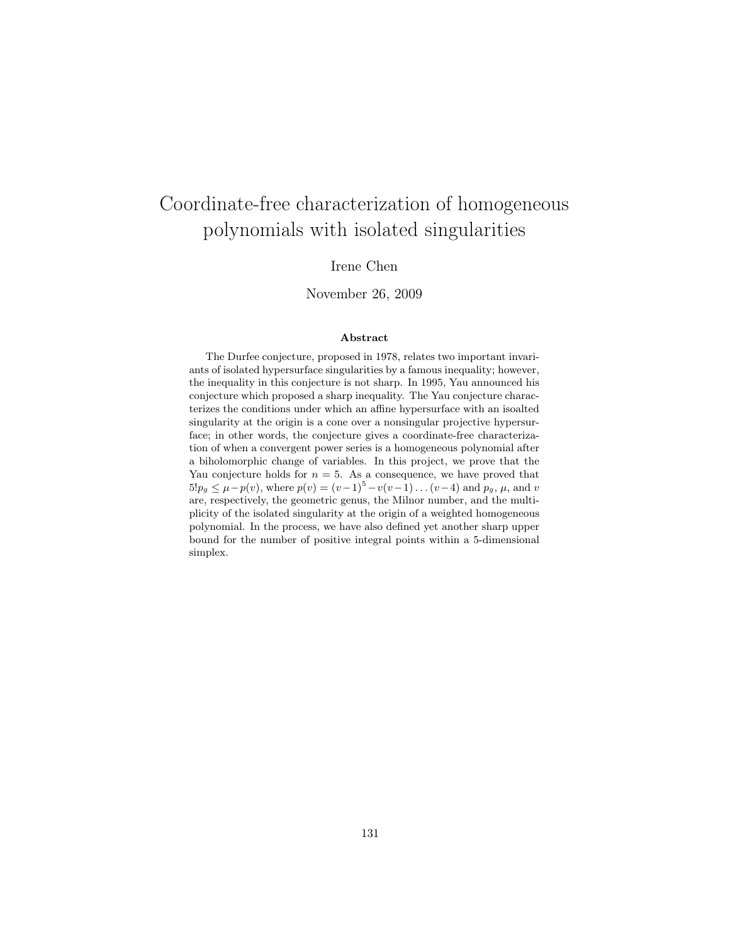# Coordinate-free characterization of homogeneous polynomials with isolated singularities

### Irene Chen

#### November 26, 2009

#### Abstract

The Durfee conjecture, proposed in 1978, relates two important invariants of isolated hypersurface singularities by a famous inequality; however, the inequality in this conjecture is not sharp. In 1995, Yau announced his conjecture which proposed a sharp inequality. The Yau conjecture characterizes the conditions under which an affine hypersurface with an isoalted singularity at the origin is a cone over a nonsingular projective hypersurface; in other words, the conjecture gives a coordinate-free characterization of when a convergent power series is a homogeneous polynomial after a biholomorphic change of variables. In this project, we prove that the Yau conjecture holds for  $n = 5$ . As a consequence, we have proved that  $5!p_q \leq \mu - p(v)$ , where  $p(v) = (v-1)^5 - v(v-1) \dots (v-4)$  and  $p_q, \mu$ , and v are, respectively, the geometric genus, the Milnor number, and the multiplicity of the isolated singularity at the origin of a weighted homogeneous polynomial. In the process, we have also defined yet another sharp upper bound for the number of positive integral points within a 5-dimensional simplex.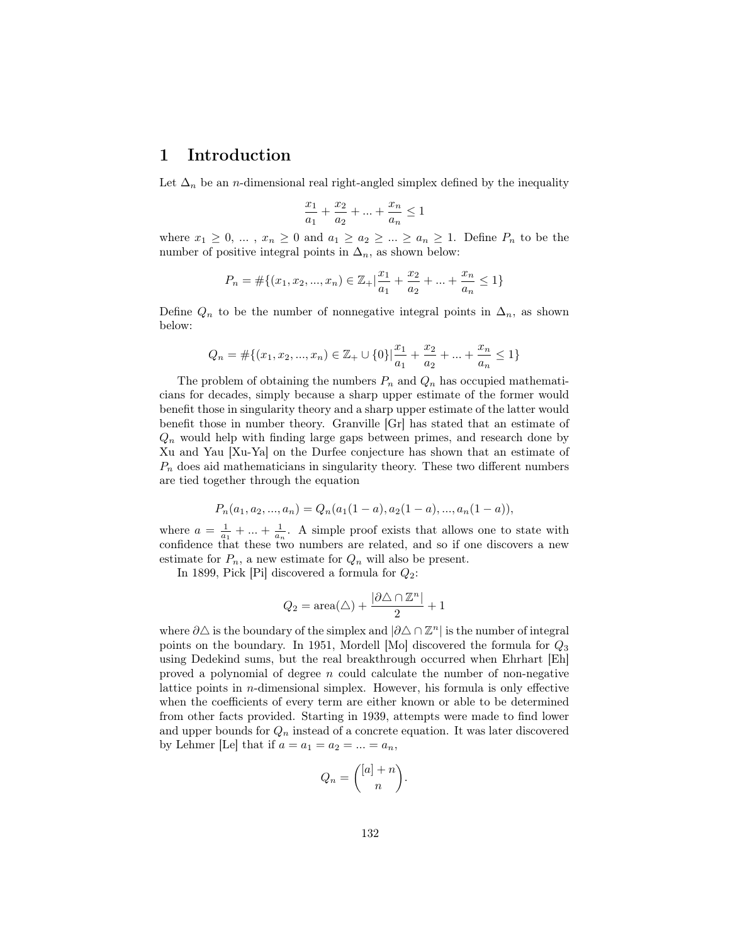### 1 Introduction

Let  $\Delta_n$  be an *n*-dimensional real right-angled simplex defined by the inequality

$$
\frac{x_1}{a_1}+\frac{x_2}{a_2}+\ldots+\frac{x_n}{a_n}\leq 1
$$

where  $x_1 \geq 0, \ldots, x_n \geq 0$  and  $a_1 \geq a_2 \geq \ldots \geq a_n \geq 1$ . Define  $P_n$  to be the number of positive integral points in  $\Delta_n$ , as shown below:

$$
P_n = \#\{(x_1, x_2, ..., x_n) \in \mathbb{Z}_+ | \frac{x_1}{a_1} + \frac{x_2}{a_2} + ... + \frac{x_n}{a_n} \le 1\}
$$

Define  $Q_n$  to be the number of nonnegative integral points in  $\Delta_n$ , as shown below:

$$
Q_n = \# \{ (x_1, x_2, ..., x_n) \in \mathbb{Z}_+ \cup \{0\} | \frac{x_1}{a_1} + \frac{x_2}{a_2} + ... + \frac{x_n}{a_n} \le 1 \}
$$

The problem of obtaining the numbers  $P_n$  and  $Q_n$  has occupied mathematicians for decades, simply because a sharp upper estimate of the former would benefit those in singularity theory and a sharp upper estimate of the latter would benefit those in number theory. Granville [Gr] has stated that an estimate of  $Q_n$  would help with finding large gaps between primes, and research done by Xu and Yau [Xu-Ya] on the Durfee conjecture has shown that an estimate of  $P_n$  does aid mathematicians in singularity theory. These two different numbers are tied together through the equation

$$
P_n(a_1, a_2, ..., a_n) = Q_n(a_1(1-a), a_2(1-a), ..., a_n(1-a)),
$$

where  $a = \frac{1}{a_1} + \ldots + \frac{1}{a_n}$ . A simple proof exists that allows one to state with confidence that these two numbers are related, and so if one discovers a new estimate for  $P_n$ , a new estimate for  $Q_n$  will also be present.

In 1899, Pick [Pi] discovered a formula for  $Q_2$ :

$$
Q_2 = \operatorname{area}(\triangle) + \frac{|\partial \triangle \cap \mathbb{Z}^n|}{2} + 1
$$

where  $\partial \triangle$  is the boundary of the simplex and  $|\partial \triangle \cap \mathbb{Z}^n|$  is the number of integral points on the boundary. In 1951, Mordell [Mo] discovered the formula for  $Q_3$ using Dedekind sums, but the real breakthrough occurred when Ehrhart [Eh] proved a polynomial of degree  $n$  could calculate the number of non-negative lattice points in  $n$ -dimensional simplex. However, his formula is only effective when the coefficients of every term are either known or able to be determined from other facts provided. Starting in 1939, attempts were made to find lower and upper bounds for  $Q_n$  instead of a concrete equation. It was later discovered by Lehmer [Le] that if  $a = a_1 = a_2 = ... = a_n$ ,

$$
Q_n = \binom{[a]+n}{n}.
$$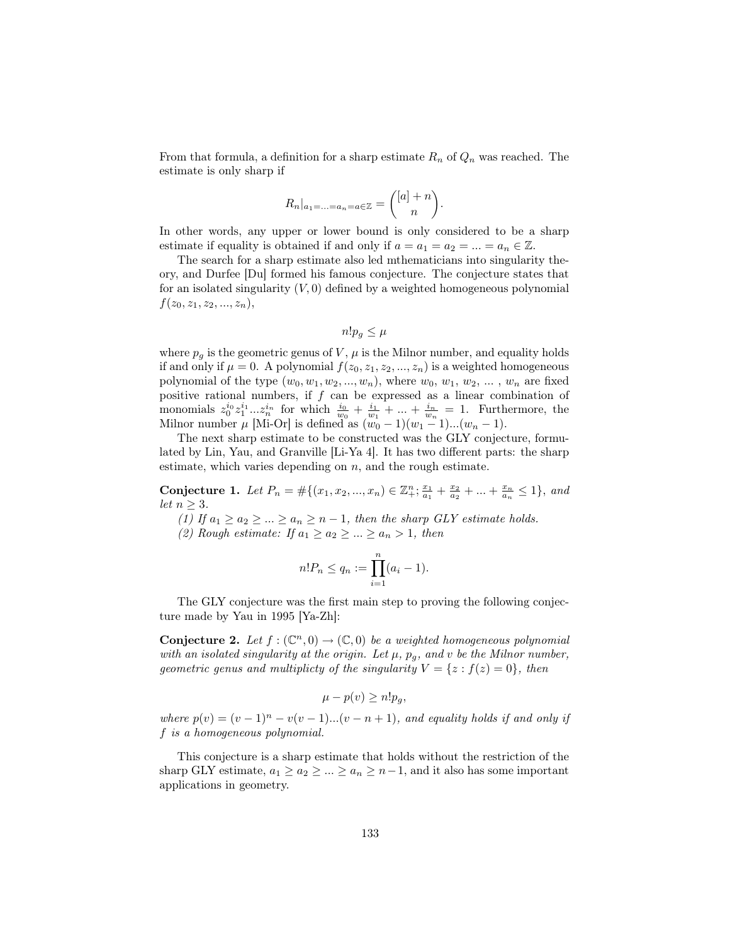From that formula, a definition for a sharp estimate  $R_n$  of  $Q_n$  was reached. The estimate is only sharp if

$$
R_n|_{a_1=\ldots=a_n=a\in\mathbb{Z}}=\binom{[a]+n}{n}.
$$

In other words, any upper or lower bound is only considered to be a sharp estimate if equality is obtained if and only if  $a = a_1 = a_2 = ... = a_n \in \mathbb{Z}$ .

The search for a sharp estimate also led mthematicians into singularity theory, and Durfee [Du] formed his famous conjecture. The conjecture states that for an isolated singularity  $(V, 0)$  defined by a weighted homogeneous polynomial  $f(z_0, z_1, z_2, ..., z_n),$ 

$$
n!p_g \le \mu
$$

where  $p_g$  is the geometric genus of V,  $\mu$  is the Milnor number, and equality holds if and only if  $\mu = 0$ . A polynomial  $f(z_0, z_1, z_2, ..., z_n)$  is a weighted homogeneous polynomial of the type  $(w_0, w_1, w_2, ..., w_n)$ , where  $w_0, w_1, w_2, ..., w_n$  are fixed positive rational numbers, if  $f$  can be expressed as a linear combination of monomials  $z_0^{i_0}z_1^{i_1}...z_n^{i_n}$  for which  $\frac{i_0}{w_0}+\frac{i_1}{w_1}+...+\frac{i_n}{w_n}=1$ . Furthermore, the Milnor number  $\mu$  [Mi-Or] is defined as  $(w_0 - 1)(w_1 - 1)...(w_n - 1)$ .

The next sharp estimate to be constructed was the GLY conjecture, formulated by Lin, Yau, and Granville [Li-Ya 4]. It has two different parts: the sharp estimate, which varies depending on  $n$ , and the rough estimate.

Conjecture 1. Let  $P_n = #\{(x_1, x_2, ..., x_n) \in \mathbb{Z}_+^n; \frac{x_1}{a_1} + \frac{x_2}{a_2} + ... + \frac{x_n}{a_n} \leq 1\}$ , and let  $n \geq 3$ .

(1) If  $a_1 \ge a_2 \ge ... \ge a_n \ge n-1$ , then the sharp GLY estimate holds.

(2) Rough estimate: If  $a_1 \ge a_2 \ge ... \ge a_n > 1$ , then

$$
n!P_n \le q_n := \prod_{i=1}^n (a_i - 1).
$$

The GLY conjecture was the first main step to proving the following conjecture made by Yau in 1995 [Ya-Zh]:

**Conjecture 2.** Let  $f : (\mathbb{C}^n, 0) \to (\mathbb{C}, 0)$  be a weighted homogeneous polynomial with an isolated singularity at the origin. Let  $\mu$ ,  $p_g$ , and v be the Milnor number, geometric genus and multiplicty of the singularity  $V = \{z : f(z) = 0\}$ , then

$$
\mu - p(v) \ge n! p_g,
$$

where  $p(v) = (v-1)^n - v(v-1)...(v-n+1)$ , and equality holds if and only if f is a homogeneous polynomial.

This conjecture is a sharp estimate that holds without the restriction of the sharp GLY estimate,  $a_1 \ge a_2 \ge ... \ge a_n \ge n-1$ , and it also has some important applications in geometry.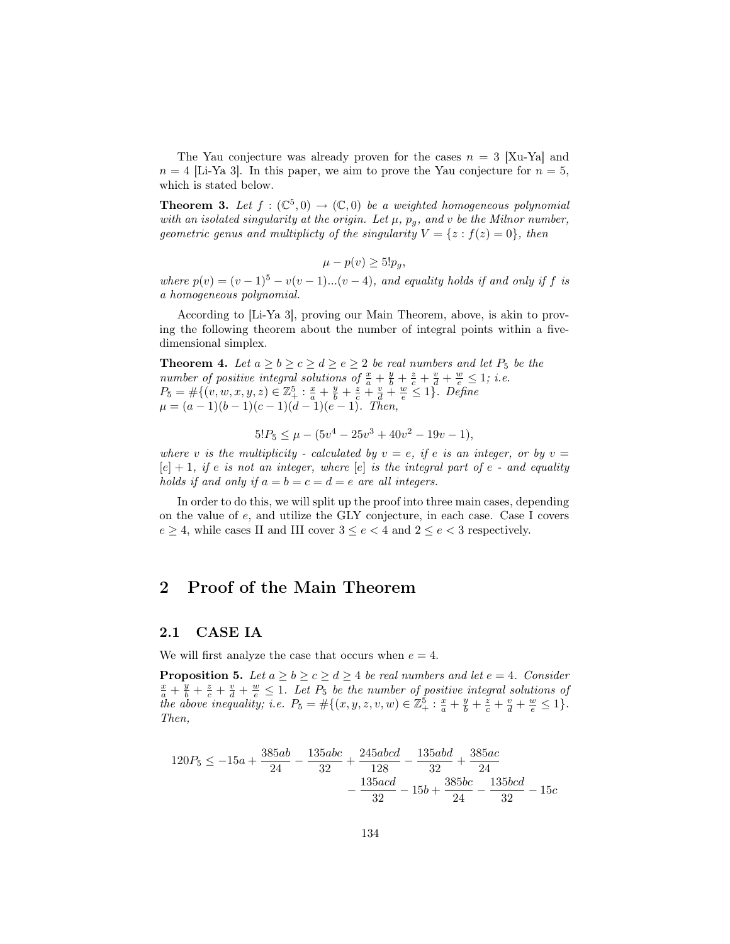The Yau conjecture was already proven for the cases  $n = 3$  [Xu-Ya] and  $n = 4$  [Li-Ya 3]. In this paper, we aim to prove the Yau conjecture for  $n = 5$ , which is stated below.

**Theorem 3.** Let  $f : (\mathbb{C}^5,0) \to (\mathbb{C},0)$  be a weighted homogeneous polynomial with an isolated singularity at the origin. Let  $\mu$ ,  $p_q$ , and v be the Milnor number, geometric genus and multiplicty of the singularity  $V = \{z : f(z) = 0\}$ , then

 $\mu - p(v) \geq 5! p_q$ 

where  $p(v) = (v-1)^5 - v(v-1)...(v-4)$ , and equality holds if and only if f is a homogeneous polynomial.

According to [Li-Ya 3], proving our Main Theorem, above, is akin to proving the following theorem about the number of integral points within a fivedimensional simplex.

**Theorem 4.** Let  $a \ge b \ge c \ge d \ge e \ge 2$  be real numbers and let  $P_5$  be the number of positive integral solutions of  $\frac{x}{a} + \frac{y}{b} + \frac{z}{c} + \frac{v}{d} + \frac{w}{e} \leq 1$ ; i.e.  $P_5 = #\{(v, w, x, y, z) \in \mathbb{Z}_{+}^5 : \frac{x}{a} + \frac{y}{b} + \frac{z}{c} + \frac{y}{d} + \frac{w}{e} \leq 1\}$ . Define  $\mu = (a-1)(b-1)(c-1)(d-1)(e-1)$ . Then,

$$
5!P_5 \le \mu - (5v^4 - 25v^3 + 40v^2 - 19v - 1),
$$

where v is the multiplicity - calculated by  $v = e$ , if e is an integer, or by  $v =$  $[e] + 1$ , if e is not an integer, where  $[e]$  is the integral part of e - and equality holds if and only if  $a = b = c = d = e$  are all integers.

In order to do this, we will split up the proof into three main cases, depending on the value of e, and utilize the GLY conjecture, in each case. Case I covers  $e \geq 4$ , while cases II and III cover  $3 \leq e < 4$  and  $2 \leq e < 3$  respectively.

### 2 Proof of the Main Theorem

#### 2.1 CASE IA

We will first analyze the case that occurs when  $e = 4$ .

**Proposition 5.** Let  $a \ge b \ge c \ge d \ge 4$  be real numbers and let  $e = 4$ . Consider  $\frac{x}{a} + \frac{y}{b} + \frac{z}{c} + \frac{v}{d} + \frac{w}{e} \leq 1$ . Let  $P_5$  be the number of positive integral solutions of the above inequality; i.e.  $P_5 = #\{(x, y, z, v, w) \in \mathbb{Z}_+^5 : \frac{x}{a} + \frac{y}{b} + \frac{z}{c} + \frac{v}{d} + \frac{w}{e} \leq 1\}.$ Then,

$$
120P_5 \le -15a + \frac{385ab}{24} - \frac{135abc}{32} + \frac{245abcd}{128} - \frac{135abd}{32} + \frac{385ac}{24} - \frac{135acd}{32} - 15b + \frac{385bc}{24} - \frac{135bcd}{32} - 15c
$$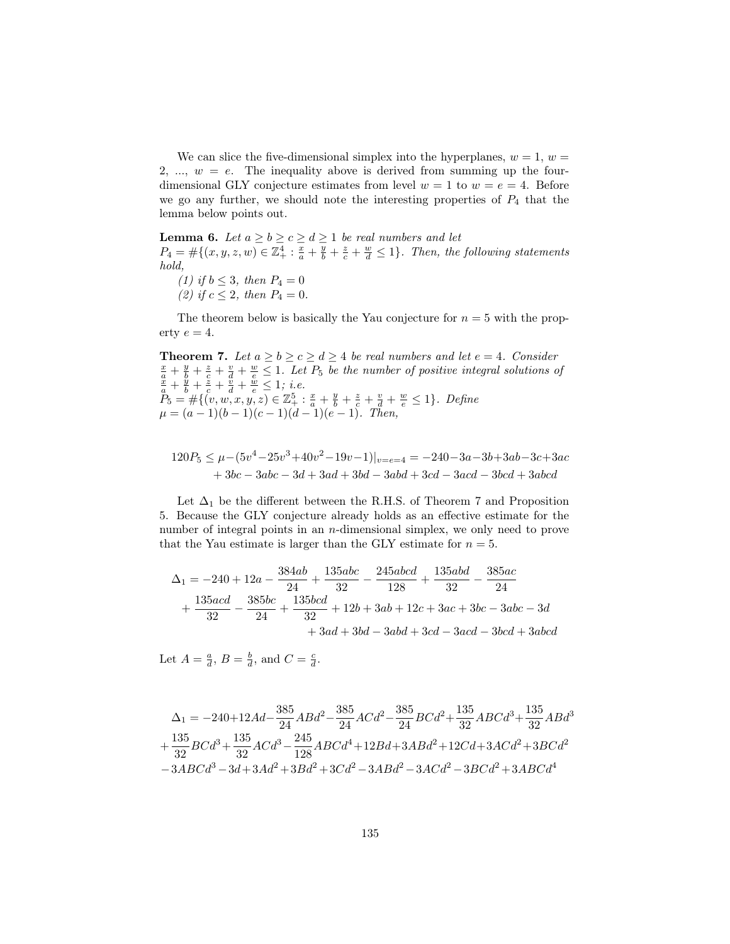We can slice the five-dimensional simplex into the hyperplanes,  $w = 1, w =$ 2, ...,  $w = e$ . The inequality above is derived from summing up the fourdimensional GLY conjecture estimates from level  $w = 1$  to  $w = e = 4$ . Before we go any further, we should note the interesting properties of  $P_4$  that the lemma below points out.

**Lemma 6.** Let  $a \ge b \ge c \ge d \ge 1$  be real numbers and let  $P_4 = \#\{(x, y, z, w) \in \mathbb{Z}_+^4 : \frac{x}{a} + \frac{y}{b} + \frac{z}{c} + \frac{w}{d} \le 1\}.$  Then, the following statements hold,

(1) if  $b \leq 3$ , then  $P_4 = 0$ (2) if  $c \leq 2$ , then  $P_4 = 0$ .

The theorem below is basically the Yau conjecture for  $n = 5$  with the property  $e = 4$ .

**Theorem 7.** Let  $a \ge b \ge c \ge d \ge 4$  be real numbers and let  $e = 4$ . Consider  $\frac{x}{a} + \frac{y}{b} + \frac{z}{c} + \frac{y}{d} + \frac{w}{e} \leq 1$ . Let  $P_5$  be the number of positive integral solutions of  $\frac{x}{a} + \frac{y}{b} + \frac{z}{c} + \frac{y}{d} + \frac{w}{e} \leq 1$ ; i.e.  $P_5 = #\{(v, w, x, y, z) \in \mathbb{Z}_+^5 : \frac{x}{a} + \frac{y}{b} + \frac{z}{c} + \frac{v}{d} + \frac{w}{e} \leq 1\}.$  Define  $\mu = (a-1)(b-1)(c-1)(d-1)(e-1)$ . Then,

$$
120P_5 \le \mu - (5v^4 - 25v^3 + 40v^2 - 19v - 1)|_{v=e=4} = -240 - 3a - 3b + 3ab - 3c + 3ac
$$
  
+ 3bc - 3abc - 3d + 3ad + 3bd - 3abd + 3cd - 3acd - 3bcd + 3abcd

Let  $\Delta_1$  be the different between the R.H.S. of Theorem 7 and Proposition 5. Because the GLY conjecture already holds as an effective estimate for the number of integral points in an *n*-dimensional simplex, we only need to prove that the Yau estimate is larger than the GLY estimate for  $n = 5$ .

$$
\Delta_1 = -240 + 12a - \frac{384ab}{24} + \frac{135abc}{32} - \frac{245abcd}{128} + \frac{135abd}{32} - \frac{385ac}{24} \n+ \frac{135acd}{32} - \frac{385bc}{24} + \frac{135bcd}{32} + 12b + 3ab + 12c + 3ac + 3bc - 3abc - 3d \n+ 3ad + 3bd - 3abd + 3cd - 3acd - 3bcd + 3abcd
$$

Let  $A = \frac{a}{d}$ ,  $B = \frac{b}{d}$ , and  $C = \frac{c}{d}$ .

$$
\Delta_1 = -240 + 12Ad - \frac{385}{24}ABd^2 - \frac{385}{24}ACd^2 - \frac{385}{24}BCd^2 + \frac{135}{32}ABCd^3 + \frac{135}{32}BCd^3 + \frac{135}{32}BCd^3 + \frac{135}{32}ACd^3 - \frac{245}{128}ABCd^4 + 12Bd + 3ABA^2 + 12Cd + 3ACd^2 + 3BCd^2 - 3ABCd^3 - 3d + 3Ad^2 + 3Bd^2 + 3Cd^2 - 3ABd^2 - 3ACd^2 - 3BCd^2 + 3ABCd^4
$$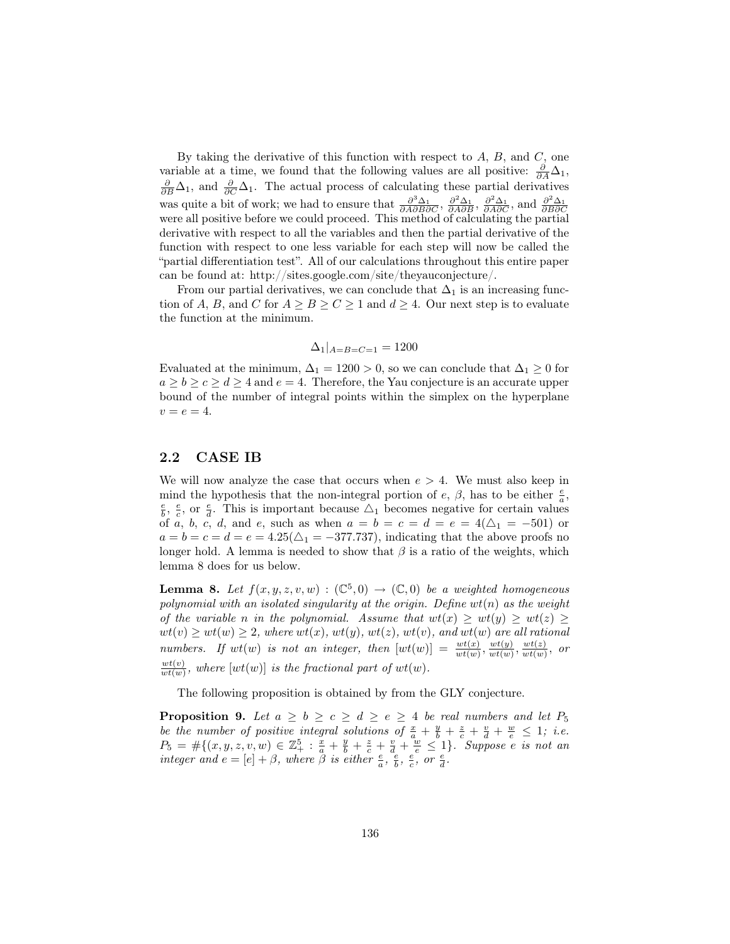By taking the derivative of this function with respect to  $A$ ,  $B$ , and  $C$ , one variable at a time, we found that the following values are all positive:  $\frac{\partial}{\partial A}\Delta_1$ ,  $\frac{\partial}{\partial B}\Delta_1$ , and  $\frac{\partial}{\partial C}\Delta_1$ . The actual process of calculating these partial derivatives was quite a bit of work; we had to ensure that  $\frac{\partial^3 \Delta_1}{\partial A \partial B \partial C}$ ,  $\frac{\partial^2 \Delta_1}{\partial A \partial B}$ ,  $\frac{\partial^2 \Delta_1}{\partial A \partial C}$ , and  $\frac{\partial^2 \Delta_1}{\partial B \partial C}$  were all positive before we could proceed. This method of calculating the partia derivative with respect to all the variables and then the partial derivative of the function with respect to one less variable for each step will now be called the "partial differentiation test". All of our calculations throughout this entire paper can be found at: http://sites.google.com/site/theyauconjecture/.

From our partial derivatives, we can conclude that  $\Delta_1$  is an increasing function of A, B, and C for  $A \geq B \geq C \geq 1$  and  $d \geq 4$ . Our next step is to evaluate the function at the minimum.

$$
\Delta_1|_{A=B=C=1} = 1200
$$

Evaluated at the minimum,  $\Delta_1 = 1200 > 0$ , so we can conclude that  $\Delta_1 \geq 0$  for  $a \ge b \ge c \ge d \ge 4$  and  $e = 4$ . Therefore, the Yau conjecture is an accurate upper bound of the number of integral points within the simplex on the hyperplane  $v = e = 4.$ 

#### 2.2 CASE IB

We will now analyze the case that occurs when  $e > 4$ . We must also keep in mind the hypothesis that the non-integral portion of  $e$ ,  $\beta$ , has to be either  $\frac{e}{a}$ ,  $\frac{e}{b}$ ,  $\frac{e}{c}$ , or  $\frac{e}{d}$ . This is important because  $\Delta_1$  becomes negative for certain values of a, b, c, d, and e, such as when  $a = b = c = d = e = 4(\Delta_1 = -501)$  or  $a = b = c = d = e = 4.25(\triangle_1 = -377.737)$ , indicating that the above proofs no longer hold. A lemma is needed to show that  $\beta$  is a ratio of the weights, which lemma 8 does for us below.

**Lemma 8.** Let  $f(x, y, z, v, w) : (\mathbb{C}^5, 0) \to (\mathbb{C}, 0)$  be a weighted homogeneous polynomial with an isolated singularity at the origin. Define  $wt(n)$  as the weight of the variable n in the polynomial. Assume that  $wt(x) \ge wt(y) \ge wt(z) \ge$  $wt(v) \ge wt(w) \ge 2,$  where  $wt(x),\,wt(y),\,wt(z),\,wt(v),\,and\,wt(w)$  are all rational numbers. If  $wt(w)$  is not an integer, then  $[wt(w)] = \frac{wt(x)}{wt(w)}, \frac{wt(y)}{wt(w)}$  $\frac{wt(y)}{wt(w)}, \frac{wt(z)}{wt(w)}$  $\frac{wt(z)}{wt(w)},$  or  $wt(v)$  $\frac{w_t(v)}{w_t(w)}$ , where  $[w_t(w)]$  is the fractional part of  $wt(w)$ .

The following proposition is obtained by from the GLY conjecture.

**Proposition 9.** Let  $a \ge b \ge c \ge d \ge e \ge 4$  be real numbers and let  $P_5$ be the number of positive integral solutions of  $\frac{x}{a} + \frac{y}{b} + \frac{z}{c} + \frac{v}{d} + \frac{w}{e} \leq 1$ ; i.e.  $P_5 = #\{(x, y, z, v, w) \in \mathbb{Z}_{+}^5 : \frac{x}{a} + \frac{y}{b} + \frac{z}{c} + \frac{v}{d} + \frac{w}{e} \leq 1\}$ . Suppose e is not an integer and  $e = [e] + \beta$ , where  $\beta$  is either  $\frac{e}{a}$ ,  $\frac{e}{b}$ ,  $\frac{e}{c}$ , or  $\frac{e}{d}$ .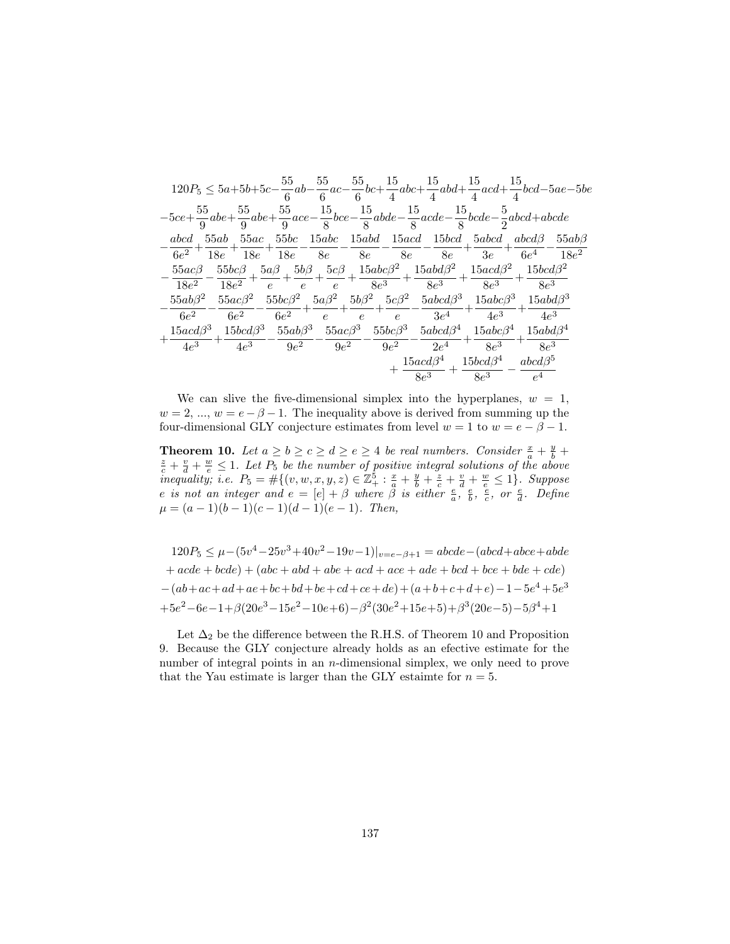|                                                                                                                                                 | $120P_5 \leq 5a + 5b + 5c - \frac{55}{6}ab - \frac{55}{6}ac - \frac{55}{6}bc + \frac{15}{4}abc + \frac{15}{4}abd + \frac{15}{4}acd + \frac{15}{4}bcd - 5ae - 5be$                                                                   |  |                                                                                |  |
|-------------------------------------------------------------------------------------------------------------------------------------------------|-------------------------------------------------------------------------------------------------------------------------------------------------------------------------------------------------------------------------------------|--|--------------------------------------------------------------------------------|--|
| $-5ce+\frac{55}{9}abe+\frac{55}{9}abe+\frac{55}{9}ace-\frac{15}{8}bce-\frac{15}{8}abde-\frac{15}{8}acde-\frac{15}{8}bcde-\frac{5}{2}abcd+abcde$ |                                                                                                                                                                                                                                     |  |                                                                                |  |
|                                                                                                                                                 | $abcd$ 55ab 55ac 55bc 15abc 15abd 15acd 15bcd 5abcd $abcd\beta$ 55ab $\beta$                                                                                                                                                        |  |                                                                                |  |
|                                                                                                                                                 | $\frac{1}{6e^2} + \frac{1}{18e} + \frac{1}{18e} + \frac{1}{18e} - \frac{1}{8e} - \frac{1}{8e} - \frac{1}{8e} - \frac{1}{8e} - \frac{1}{8e} + \frac{1}{3e} + \frac{1}{6e^4} - \frac{1}{18e^2}$                                       |  |                                                                                |  |
|                                                                                                                                                 | $\frac{55ac\beta}{18e^{2}}-\frac{55bc\beta}{18e^{2}}+\frac{5a\beta}{e}+\frac{5b\beta}{e}+\frac{5c\beta}{e}+\frac{15abc\beta^{2}}{8e^{3}}+\frac{15abd\beta^{2}}{8e^{3}}+\frac{15acd\beta^{2}}{8e^{3}}+\frac{15bcd\beta^{2}}{8e^{3}}$ |  |                                                                                |  |
|                                                                                                                                                 |                                                                                                                                                                                                                                     |  |                                                                                |  |
| $55ab\beta^2$                                                                                                                                   | $\frac{55ac\beta^2}{6e^2} - \frac{55bc\beta^2}{6e^2} + \frac{5a\beta^2}{e} + \frac{5b\beta^2}{e} + \frac{5c\beta^2}{e} - \frac{5abcd\beta^3}{3e^4} + \frac{15abc\beta^3}{4e^3} + \frac{15abd\beta^3}{4e^3}$                         |  |                                                                                |  |
| $6e^{2}$                                                                                                                                        |                                                                                                                                                                                                                                     |  |                                                                                |  |
|                                                                                                                                                 | $\frac{15acd\beta^3}{0}+\frac{15bcd\beta^3}{0}-\frac{55ab\beta^3}{0}-\frac{55ac\beta^3}{0}-\frac{55bc\beta^3}{0}-\frac{5abcd\beta^4}{0}+\frac{15abc\beta^4}{0}+\frac{15abd\beta^4}{1}$                                              |  |                                                                                |  |
| $4e^3$                                                                                                                                          | $+\frac{1}{4e^3} - \frac{1}{9e^2} - \frac{1}{9e^2} - \frac{1}{9e^2} - \frac{1}{2e^4} + \frac{1}{8e^3} + \frac{1}{8e^3}$                                                                                                             |  |                                                                                |  |
|                                                                                                                                                 |                                                                                                                                                                                                                                     |  | $+\frac{15acd\beta^4}{8e^3}+\frac{15bcd\beta^4}{8e^3}-\frac{abcd\beta^5}{e^4}$ |  |
|                                                                                                                                                 |                                                                                                                                                                                                                                     |  |                                                                                |  |

We can slive the five-dimensional simplex into the hyperplanes,  $w = 1$ ,  $w = 2, ..., w = e - \beta - 1$ . The inequality above is derived from summing up the four-dimensional GLY conjecture estimates from level  $w = 1$  to  $w = e - \beta - 1$ .

**Theorem 10.** Let  $a \ge b \ge c \ge d \ge e \ge 4$  be real numbers. Consider  $\frac{x}{a} + \frac{y}{b} + \frac{z}{c} + \frac{y}{d} + \frac{w}{e} \le 1$ . Let  $P_5$  be the number of positive integral solutions of the above inequality; i.e.  $P_5 = \#\{(v, w, x, y, z) \in \mathbb{Z}_+^5 : \frac{x}{a} + \frac{y}{b} + \frac{z}{c} + \frac{v}{d} + \frac{w}{e} \le 1\}$ . Suppose<br>e is not an integer and  $e = [e] + \beta$  where  $\beta$  is either  $\frac{e}{a}$ ,  $\frac{e}{b}$ ,  $\frac{e}{c}$ , or  $\frac{e}{d}$ . Define  $\mu = (a-1)(b-1)(c-1)(d-1)(e-1)$ . Then,

 $120P_5 \leq \mu - (5v^4 - 25v^3 + 40v^2 - 19v - 1)|_{v=e-\beta+1} = abcde - (abcd + abce + abde$  $+ acde + bcde) + (abc + abd + abe + acd + ace + ade + bcd + bce + bde + cde)$  $-(ab+ac+ad+ae+bc+bd+be+cd+ce+de)+(a+b+c+d+e)-1-5e^4+5e^3$  $+5e^2 - 6e - 1 + \beta(20e^3 - 15e^2 - 10e + 6) - \beta^2(30e^2 + 15e + 5) + \beta^3(20e - 5) - 5\beta^4 + 1$ 

Let  $\Delta_2$  be the difference between the R.H.S. of Theorem 10 and Proposition 9. Because the GLY conjecture already holds as an efective estimate for the number of integral points in an  $n$ -dimensional simplex, we only need to prove that the Yau estimate is larger than the GLY estaimte for  $n = 5$ .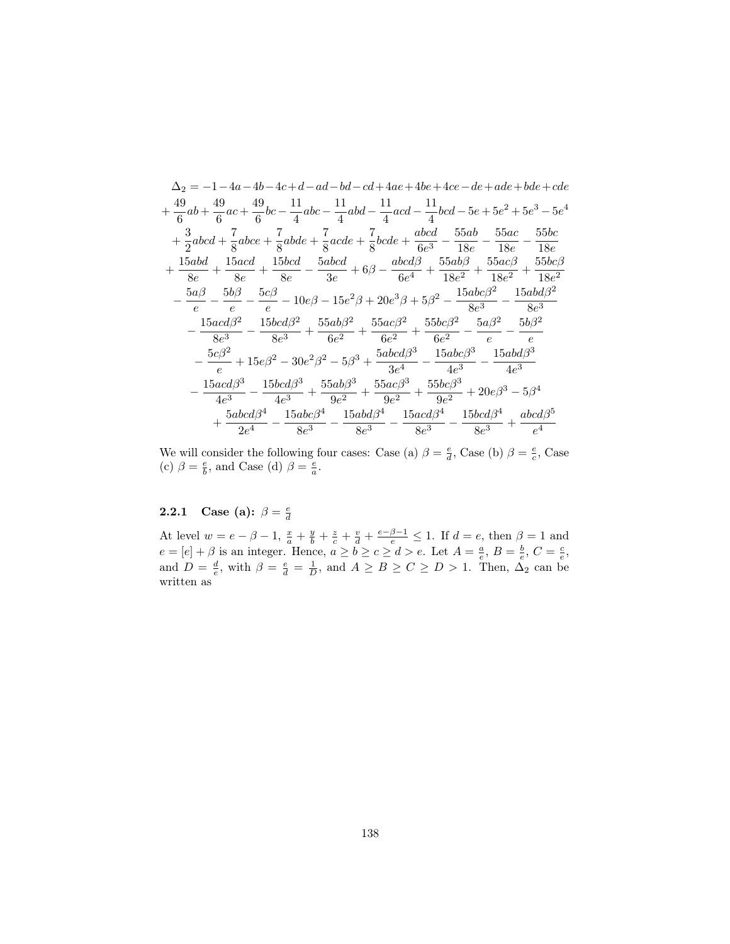$$
\Delta_2 = -1 - 4a - 4b - 4c + d - ad - bd - cd + 4ae + 4be + 4ce - de + ade + bde + cde
$$
\n
$$
+ \frac{49}{6}ab + \frac{49}{6}ac + \frac{49}{6}bc - \frac{11}{4}abc - \frac{11}{4}abd - \frac{11}{4}acd - \frac{11}{4}bcd - 5e + 5e^2 + 5e^3 - 5e^4
$$
\n
$$
+ \frac{3}{2}abcd + \frac{7}{8}abce + \frac{7}{8}abde + \frac{7}{8}acde + \frac{7}{8}bcde + \frac{abc}{6e^3} - \frac{55ab}{18e} - \frac{55ac}{18e} - \frac{55bc}{18e}
$$
\n
$$
+ \frac{15abd}{8e} + \frac{15acd}{8e} + \frac{15bcd}{8e} - \frac{5abcd}{3e} + 6\beta - \frac{abcd\beta}{6e^4} + \frac{55ab\beta}{18e^2} + \frac{55ac\beta}{18e^2} + \frac{55bc\beta}{18e^2}
$$
\n
$$
- \frac{5a\beta}{e} - \frac{5b\beta}{e} - \frac{5c\beta}{e} - 10e\beta - 15e^2\beta + 20e^3\beta + 5\beta^2 - \frac{15abc\beta^2}{8e^3} - \frac{15abd\beta^2}{8e^3}
$$
\n
$$
- \frac{15acd\beta^2}{8e^3} - \frac{15bcd\beta^2}{8e^3} + \frac{55ab\beta^2}{6e^2} + \frac{55ac\beta^2}{6e^2} + \frac{55bc\beta^2}{6e^2} - \frac{5a\beta^2}{e} - \frac{5b\beta^2}{e}
$$
\n
$$
- \frac{5c\beta^2}{e} + 15e\beta^2 - 30e^2\beta^2 - 5\beta^3 + \frac{5abcd\beta^3}{3e^4} - \frac{15abc\beta^3}{4e^3} - \frac{15abd\beta^3}{4e^3}
$$
\n
$$
- \frac{15acd\beta^3}{4e^3} - \frac{15bcd\beta^3}{4e^3} + \frac{55ab\beta^3}{9e^
$$

We will consider the following four cases: Case (a)  $\beta = \frac{e}{d}$ , Case (b)  $\beta = \frac{e}{c}$ , Case (c)  $\beta = \frac{e}{b}$ , and Case (d)  $\beta = \frac{e}{a}$ .

# **2.2.1** Case (a):  $\beta = \frac{e}{d}$

At level  $w = e - \beta - 1$ ,  $\frac{x}{a} + \frac{y}{b} + \frac{z}{c} + \frac{v}{d} + \frac{e - \beta - 1}{e} \le 1$ . If  $d = e$ , then  $\beta = 1$  and  $e = [e] + \beta$  is an integer. Hence,  $a \ge b \ge c \ge d > e$ . Let  $A = \frac{a}{e}$ ,  $B = \frac{b}{e}$ ,  $C = \frac{c}{e}$ , and  $D = \frac{d}{e}$ , with  $\beta = \frac$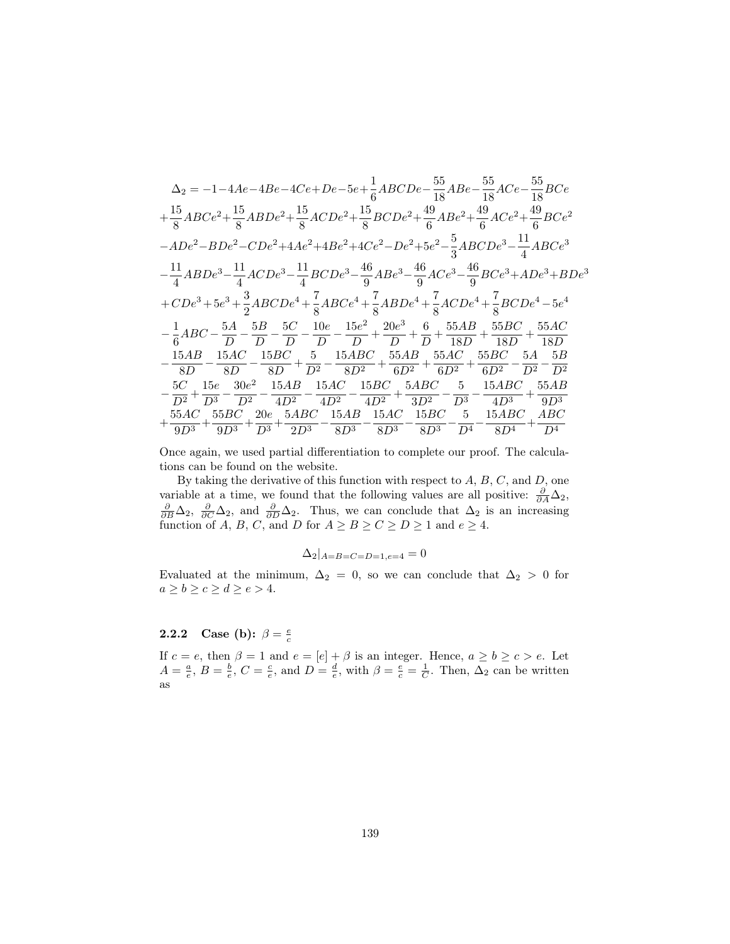$$
\Delta_{2} = -1-4Ae-4Be-4Ce+De-5e+\frac{1}{6}ABCDe-\frac{55}{18}ABe-\frac{55}{18}ACe-\frac{55}{18}BCe\n+\frac{15}{8}ABCe^{2}+\frac{15}{8}ABDe^{2}+\frac{15}{8}ACDe^{2}+\frac{45}{8}BCDe^{2}+\frac{49}{6}ABe^{2}+\frac{49}{6}ACe^{2}+\frac{49}{6}BCe^{2}\n-ADe^{2}-BDe^{2}-CDe^{2}+4Ae^{2}+4Be^{2}+4Ce^{2}-De^{2}+5e^{2}-\frac{5}{3}ABCDe^{3}-\frac{11}{4}ABCe^{3}\n-\frac{11}{4}ABDe^{3}-\frac{11}{4}ACDe^{3}-\frac{11}{4}BCDe^{3}-\frac{46}{9}ABe^{3}-\frac{46}{9}ACe^{3}-\frac{46}{9}BCe^{3}+ADe^{3}+BDe^{3}\n+CDe^{3}+5e^{3}+\frac{3}{2}ABCDe^{4}+\frac{7}{8}ABCe^{4}+\frac{7}{8}ABDe^{4}+\frac{7}{8}ACDe^{4}+\frac{7}{8}BCDe^{4}-5e^{4}\n-\frac{1}{6}ABC-\frac{5A}{D}-\frac{5B}{D}-\frac{5C}{D}-\frac{10e}{D}-\frac{15e^{2}}{D}+\frac{20e^{3}}{D}+\frac{6}{D}+\frac{55AB}{18D}+\frac{55BC}{18D}+\frac{55AC}{18D}\n-\frac{15AB}{8D}-\frac{15AC}{8D}-\frac{15BC}{8D}+\frac{5}{D^{2}}-\frac{15ABC}{8D^{2}}+\frac{55AB}{6D^{2}}+\frac{55AC}{6D^{2}}+\frac{55BC}{6D^{2}}-\frac{5A}{D^{2}}-\frac{5B}{D^{2}}\n-\frac{5C}{D^{2}}+\frac{15e}{D^{3}}-\frac{30e^{2}}{D^{2}}-\frac{15AB}{4D^{2}}-\frac{15AC}{4D^{2}}-\frac{15BC}{4D^{2}}+\frac{5ABC}{3D^{2}}-\frac{5}{D^{3}}-\frac{15ABC}{4D^{3}}+\frac{55AC}{9D^{3}}+ \frac{55AC}{9D^{3}}+\frac
$$

Once again, we used partial differentiation to complete our proof. The calculations can be found on the website.

By taking the derivative of this function with respect to  $A, B, C$ , and  $D$ , one variable at a time, we found that the following values are all positive:  $\frac{\partial}{\partial A}\Delta_2$ ,  $\frac{\partial}{\partial B}\Delta_2$ , and  $\frac{\partial}{\partial D}\Delta_2$ . Thus, we can conclude that  $\Delta_2$  is an increasing function of A, B, C, and D for  $A \geq B \geq C \geq D \geq 1$  and  $e \geq 4$ .

$$
\Delta_2|_{A=B=C=D=1, e=4}=0
$$

Evaluated at the minimum,  $\Delta_2 = 0$ , so we can conclude that  $\Delta_2 > 0$  for  $a\geq b\geq c\geq d\geq e>4.$ 

# **2.2.2** Case (b):  $\beta = \frac{e}{c}$

If  $c = e$ , then  $\beta = 1$  and  $e = [e] + \beta$  is an integer. Hence,  $a \ge b \ge c > e$ . Let  $A = \frac{a}{e}$ ,  $B = \frac{b}{e}$ ,  $C = \frac{c}{e}$ , and  $D = \frac{d}{e}$ , with  $\beta = \frac{e}{c} = \frac{1}{C}$ . Then,  $\Delta_2$  can be written as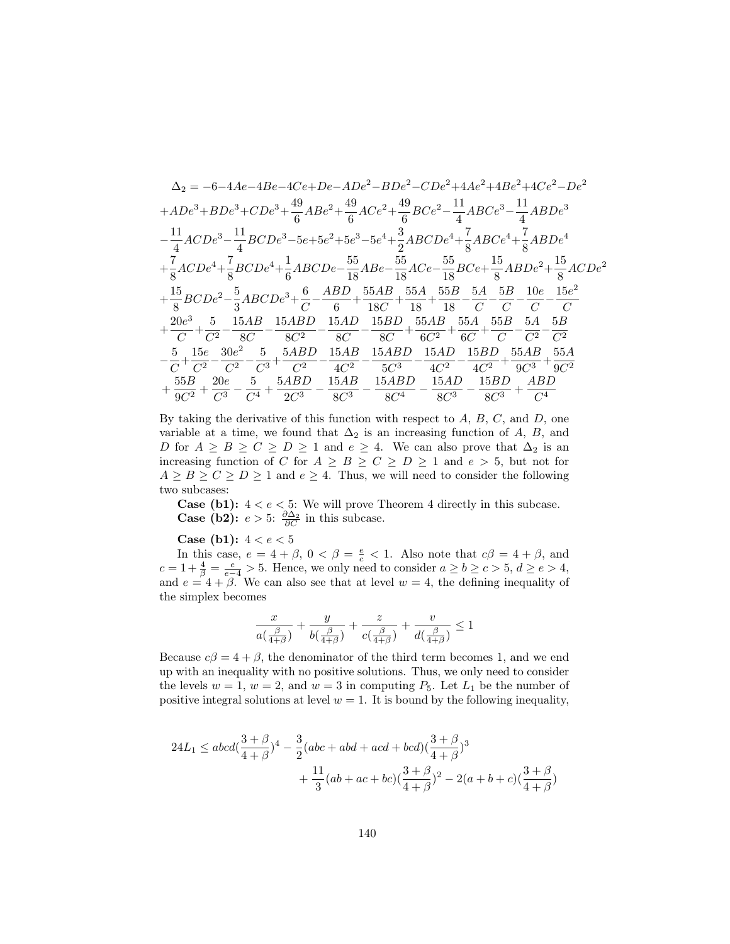$$
\Delta_{2} = -6 - 4Ae - 4Be - 4Ce + De - ADe^{2} - BDe^{2} - CDe^{2} + 4Ae^{2} + 4Be^{2} + 4Ce^{2} - De^{2}
$$
\n
$$
+ ADe^{3} + BDe^{3} + CDe^{3} + \frac{49}{6}ABe^{2} + \frac{49}{6}ACe^{2} + \frac{49}{6}BCe^{2} - \frac{11}{4}ABCe^{3} - \frac{11}{4}ABDe^{3}
$$
\n
$$
-\frac{11}{4}ACDe^{3} - \frac{11}{4}BCDe^{3} - 5e + 5e^{2} + 5e^{3} - 5e^{4} + \frac{3}{2}ABCDe^{4} + \frac{7}{8}ABCe^{4} + \frac{7}{8}ABDe^{4}
$$
\n
$$
+\frac{7}{8}ACDe^{4} + \frac{7}{8}BCDe^{4} + \frac{1}{6}ABCDe - \frac{55}{18}ABe - \frac{55}{18}ACe - \frac{55}{18}BCe + \frac{15}{8}ABDe^{2} + \frac{15}{8}ACDe^{2}
$$
\n
$$
+\frac{15}{8}BCDe^{2} - \frac{5}{3}ABCDe^{3} + \frac{6}{C} - \frac{ABD}{6} + \frac{55AB}{18C} + \frac{55A}{18} + \frac{55B}{18} - \frac{5A}{C} - \frac{5B}{C} - \frac{10e}{C} - \frac{15e^{2}}{C}
$$
\n
$$
+\frac{20e^{3}}{C} + \frac{5}{C^{2}} - \frac{5}{8C} - \frac{15AB}{8C^{2}} - \frac{15AD}{8C} - \frac{15BD}{8C} + \frac{55AB}{6C^{2}} + \frac{55A}{6C} + \frac{55B}{C} - \frac{5A}{C^{2}} - \frac{5B}{C^{2}}
$$
\n
$$
-\frac{5}{C} + \frac{15e}{C^{2}} - \frac{30e^{2}}{C^{2}} - \frac{5}{C^{3}} + \frac{5ABD}{C^{2}} - \frac{15AB}{4C^{2}} - \frac{15ABD}{5C^{3}} - \frac{15AD}{4C^{2}} - \frac{15BD}{4C^{2}} + \frac{55AB}{
$$

By taking the derivative of this function with respect to  $A, B, C$ , and  $D$ , one variable at a time, we found that  $\Delta_2$  is an increasing function of A, B, and D for  $A \geq B \geq C \geq D \geq 1$  and  $e \geq 4$ . We can also prove that  $\Delta_2$  is an increasing function of C for  $A \geq B \geq C \geq D \geq 1$  and  $e > 5$ , but not for  $A \geq B \geq C \geq D \geq 1$  and  $e \geq 4$ . Thus, we will need to consider the following two subcases:

**Case (b1):**  $4 < e < 5$ : We will prove Theorem 4 directly in this subcase.<br>**Case (b2):**  $e > 5$ :  $\frac{\partial \Delta_2}{\partial C}$  in this subcase.

**Case (b1):**  $4 < e < 5$ 

In this case,  $e = 4 + \beta$ ,  $0 < \beta = \frac{e}{c} < 1$ . Also note that  $c\beta = 4 + \beta$ , and  $c = 1 + \frac{4}{\beta} = \frac{e}{e-4} > 5$ . Hence, we only need to consider  $a \ge b \ge c > 5$ ,  $d \ge e > 4$ , and  $e = 4 + \beta$ . We can also see that at level  $w = 4$ , the defining inequality of the simplex becomes

$$
\frac{x}{a\left(\frac{\beta}{4+\beta}\right)} + \frac{y}{b\left(\frac{\beta}{4+\beta}\right)} + \frac{z}{c\left(\frac{\beta}{4+\beta}\right)} + \frac{v}{d\left(\frac{\beta}{4+\beta}\right)} \le 1
$$

Because  $c\beta = 4 + \beta$ , the denominator of the third term becomes 1, and we end up with an inequality with no positive solutions. Thus, we only need to consider the levels  $w = 1$ ,  $w = 2$ , and  $w = 3$  in computing  $P_5$ . Let  $L_1$  be the number of positive integral solutions at level  $w = 1$ . It is bound by the following inequality,

$$
24L_1 \le abcd(\frac{3+\beta}{4+\beta})^4 - \frac{3}{2}(abc + abd + acd + bcd)(\frac{3+\beta}{4+\beta})^3
$$
  
+  $\frac{11}{3}(ab + ac + bc)(\frac{3+\beta}{4+\beta})^2 - 2(a+b+c)(\frac{3+\beta}{4+\beta})$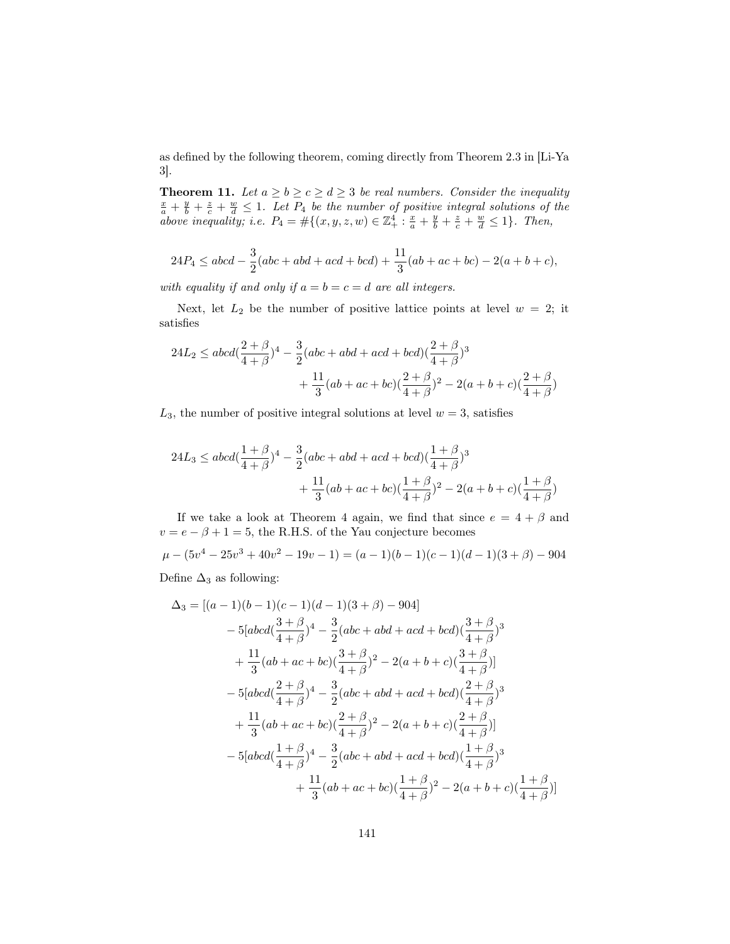as defined by the following theorem, coming directly from Theorem 2.3 in [Li-Ya 3].

**Theorem 11.** Let  $a \ge b \ge c \ge d \ge 3$  be real numbers. Consider the inequality  $\frac{x}{a} + \frac{y}{b} + \frac{z}{c} + \frac{w}{d} \leq 1$ . Let  $P_4$  be the number of positive integral solutions of the above inequality; i.e.  $P_4 = #\{(x, y, z, w) \in \mathbb{Z}_+^4 : \frac{x}{a} + \frac{y}{b} + \frac{z}{c} + \frac{w}{d} \le 1\}.$  Then,

$$
24P_4 \le abcd - \frac{3}{2}(abc + abd + acd + bcd) + \frac{11}{3}(ab + ac + bc) - 2(a + b + c),
$$

with equality if and only if  $a = b = c = d$  are all integers.

Next, let  $L_2$  be the number of positive lattice points at level  $w = 2$ ; it satisfies

$$
\begin{aligned} 24L_2 &\leq abcd(\frac{2+\beta}{4+\beta})^4-\frac{3}{2}(abc+abd+acd+bcd)(\frac{2+\beta}{4+\beta})^3 \\ &+\frac{11}{3}(ab+ac+bc)(\frac{2+\beta}{4+\beta})^2-2(a+b+c)(\frac{2+\beta}{4+\beta}) \end{aligned}
$$

 $L_3$ , the number of positive integral solutions at level  $w = 3$ , satisfies

$$
\begin{aligned} 24L_3 &\leq abcd(\frac{1+\beta}{4+\beta})^4-\frac{3}{2}(abc+abd+acd+bcd)(\frac{1+\beta}{4+\beta})^3 \\& +\frac{11}{3}(ab+ac+bc)(\frac{1+\beta}{4+\beta})^2-2(a+b+c)(\frac{1+\beta}{4+\beta}) \end{aligned}
$$

If we take a look at Theorem 4 again, we find that since  $e = 4 + \beta$  and  $v = e - \beta + 1 = 5,$  the R.H.S. of the Yau conjecture becomes

 $\mu - (5v^4 - 25v^3 + 40v^2 - 19v - 1) = (a - 1)(b - 1)(c - 1)(d - 1)(3 + \beta) - 904$ 

Define  $\Delta_3$  as following:

$$
\Delta_3 = [(a-1)(b-1)(c-1)(d-1)(3+\beta)-904]
$$
  
\n
$$
-5[abcd(\frac{3+\beta}{4+\beta})^4 - \frac{3}{2}(abc+abd+acd+bcd)(\frac{3+\beta}{4+\beta})^3
$$
  
\n
$$
+\frac{11}{3}(ab+ac+bc)(\frac{3+\beta}{4+\beta})^2 - 2(a+b+c)(\frac{3+\beta}{4+\beta})]
$$
  
\n
$$
-5[abcd(\frac{2+\beta}{4+\beta})^4 - \frac{3}{2}(abc+abd+acd+bcd)(\frac{2+\beta}{4+\beta})^3
$$
  
\n
$$
+\frac{11}{3}(ab+ac+bc)(\frac{2+\beta}{4+\beta})^2 - 2(a+b+c)(\frac{2+\beta}{4+\beta})]
$$
  
\n
$$
-5[abcd(\frac{1+\beta}{4+\beta})^4 - \frac{3}{2}(abc+abd+acd+bcd)(\frac{1+\beta}{4+\beta})^3
$$
  
\n
$$
+\frac{11}{3}(ab+ac+bc)(\frac{1+\beta}{4+\beta})^2 - 2(a+b+c)(\frac{1+\beta}{4+\beta})]
$$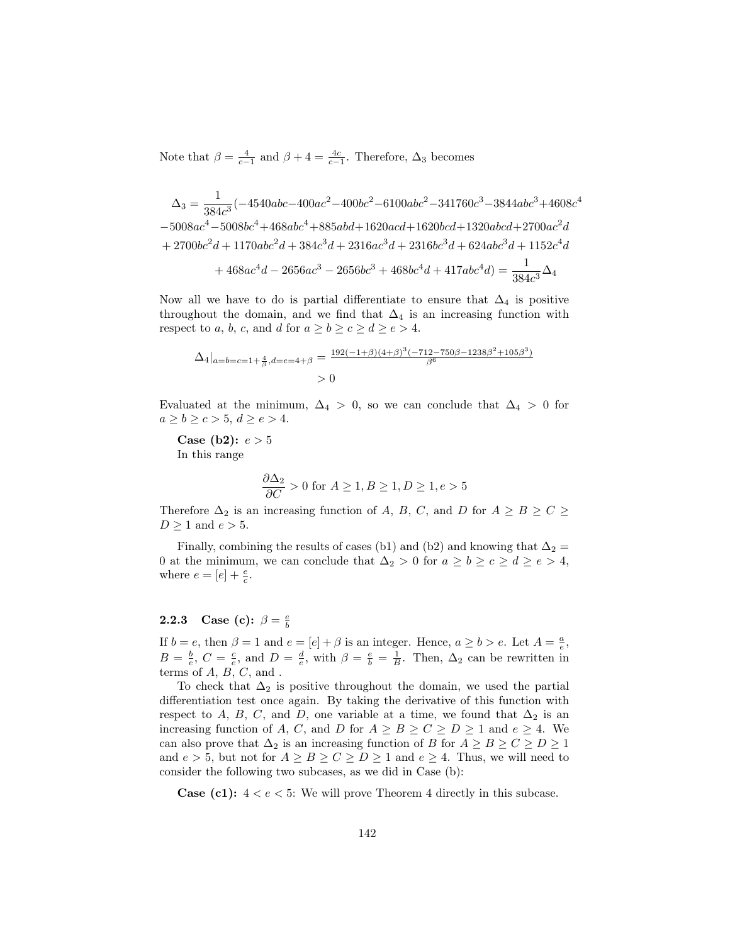Note that  $\beta = \frac{4}{c-1}$  and  $\beta + 4 = \frac{4c}{c-1}$ . Therefore,  $\Delta_3$  becomes

$$
\Delta_3 = \frac{1}{384c^3}(-4540abc - 400ac^2 - 400bc^2 - 6100abc^2 - 341760c^3 - 3844abc^3 + 4608c^4
$$
  
\n
$$
-5008ac^4 - 5008bc^4 + 468abc^4 + 885abd + 1620acd + 1620bcd + 1320abcd + 2700ac^2d
$$
  
\n
$$
+ 2700bc^2d + 1170abc^2d + 384c^3d + 2316ac^3d + 2316bc^3d + 624abc^3d + 1152c^4d
$$
  
\n
$$
+ 468ac^4d - 2656ac^3 - 2656bc^3 + 468bc^4d + 417abc^4d = \frac{1}{384c^3}\Delta_4
$$

Now all we have to do is partial differentiate to ensure that  $\Delta_4$  is positive throughout the domain, and we find that  $\Delta_4$  is an increasing function with respect to a, b, c, and d for  $a \ge b \ge c \ge d \ge e > 4$ .

$$
\Delta_4|_{a=b=c=1+\frac{4}{\beta}, d=e=4+\beta} = \frac{192(-1+\beta)(4+\beta)^3(-712-750\beta-1238\beta^2+105\beta^3)}{\beta^6}
$$
  
> 0

Evaluated at the minimum,  $\Delta_4 > 0$ , so we can conclude that  $\Delta_4 > 0$  for  $a \geq b \geq c > 5, d \geq e > 4.$ 

**Case (b2):**  $e > 5$ In this range

$$
\frac{\partial \Delta_2}{\partial C} > 0 \text{ for } A \ge 1, B \ge 1, D \ge 1, e > 5
$$

Therefore  $\Delta_2$  is an increasing function of A, B, C, and D for  $A \geq B \geq C \geq$  $D \geq 1$  and  $e > 5$ .

Finally, combining the results of cases (b1) and (b2) and knowing that  $\Delta_2 =$ 0 at the minimum, we can conclude that  $\Delta_2 > 0$  for  $a \ge b \ge c \ge d \ge e > 4$ , where  $e = [e] + \frac{e}{c}$ .

# **2.2.3** Case (c):  $\beta = \frac{e}{b}$

If  $b = e$ , then  $\beta = 1$  and  $e = [e] + \beta$  is an integer. Hence,  $a \ge b > e$ . Let  $A = \frac{a}{e}$ ,  $B = \frac{b}{e}$ ,  $C = \frac{c}{e}$ , and  $D = \frac{d}{e}$ , with  $\beta = \frac{e}{b} = \frac{1}{B}$ . Then,  $\Delta_2$  can be rewritten in terms of  $A, B, C$ , and.

To check that  $\Delta_2$  is positive throughout the domain, we used the partial differentiation test once again. By taking the derivative of this function with respect to A, B, C, and D, one variable at a time, we found that  $\Delta_2$  is an increasing function of A, C, and D for  $A \geq B \geq C \geq D \geq 1$  and  $e \geq 4$ . We can also prove that  $\Delta_2$  is an increasing function of B for  $A \geq B \geq C \geq D \geq 1$ and  $e > 5$ , but not for  $A \geq B \geq C \geq D \geq 1$  and  $e \geq 4$ . Thus, we will need to consider the following two subcases, as we did in Case (b):

**Case (c1):**  $4 < e < 5$ : We will prove Theorem 4 directly in this subcase.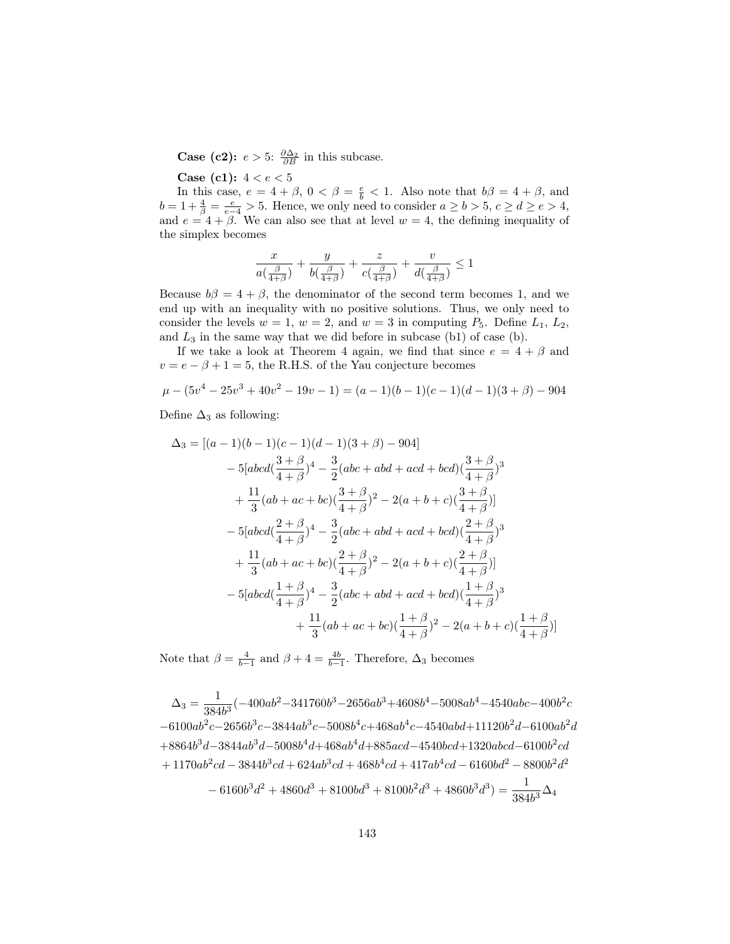**Case (c2):**  $e > 5$ :  $\frac{\partial \Delta_2}{\partial B}$  in this subcase.

**Case (c1):**  $4 < e < 5$ 

In this case,  $e = 4 + \beta$ ,  $0 < \beta = \frac{e}{b} < 1$ . Also note that  $b\beta = 4 + \beta$ , and  $b = 1 + \frac{4}{\beta} = \frac{e}{e-4} > 5$ . Hence, we only need to consider  $a \ge b > 5$ ,  $c \ge d \ge e > 4$ , and  $e = 4 + \beta$ . We can also see that at level  $w = 4$ , the defining inequality of the simplex becomes

$$
\frac{x}{a\left(\frac{\beta}{4+\beta}\right)} + \frac{y}{b\left(\frac{\beta}{4+\beta}\right)} + \frac{z}{c\left(\frac{\beta}{4+\beta}\right)} + \frac{v}{d\left(\frac{\beta}{4+\beta}\right)} \le 1
$$

Because  $b\beta = 4 + \beta$ , the denominator of the second term becomes 1, and we end up with an inequality with no positive solutions. Thus, we only need to consider the levels  $w = 1$ ,  $w = 2$ , and  $w = 3$  in computing  $P_5$ . Define  $L_1, L_2$ , and  $L_3$  in the same way that we did before in subcase (b1) of case (b).

If we take a look at Theorem 4 again, we find that since  $e = 4 + \beta$  and  $v = e - \beta + 1 = 5$ , the R.H.S. of the Yau conjecture becomes

$$
\mu - (5v^4 - 25v^3 + 40v^2 - 19v - 1) = (a - 1)(b - 1)(c - 1)(d - 1)(3 + \beta) - 904
$$

Define  $\Delta_3$  as following:

$$
\Delta_3 = [(a-1)(b-1)(c-1)(d-1)(3+\beta)-904]
$$
  
\n
$$
-5[abcd(\frac{3+\beta}{4+\beta})^4 - \frac{3}{2}(abc+abd+acd+bcd)(\frac{3+\beta}{4+\beta})^3
$$
  
\n
$$
+\frac{11}{3}(ab+ac+bc)(\frac{3+\beta}{4+\beta})^2 - 2(a+b+c)(\frac{3+\beta}{4+\beta})]
$$
  
\n
$$
-5[abcd(\frac{2+\beta}{4+\beta})^4 - \frac{3}{2}(abc+abd+acd+bcd)(\frac{2+\beta}{4+\beta})^3
$$
  
\n
$$
+\frac{11}{3}(ab+ac+bc)(\frac{2+\beta}{4+\beta})^2 - 2(a+b+c)(\frac{2+\beta}{4+\beta})]
$$
  
\n
$$
-5[abcd(\frac{1+\beta}{4+\beta})^4 - \frac{3}{2}(abc+abd+acd+bcd)(\frac{1+\beta}{4+\beta})^3
$$
  
\n
$$
+\frac{11}{3}(ab+ac+bc)(\frac{1+\beta}{4+\beta})^2 - 2(a+b+c)(\frac{1+\beta}{4+\beta})]
$$

Note that  $\beta = \frac{4}{b-1}$  and  $\beta + 4 = \frac{4b}{b-1}$ . Therefore,  $\Delta_3$  becomes

 $\Delta_3 = \frac{1}{284}$  $\frac{1}{384b^3}(-400ab^2-341760b^3-2656ab^3+4608b^4-5008ab^4-4540abc-400b^2c$  $-6100ab^2c - 2656b^3c - 3844ab^3c - 5008b^4c + 468ab^4c - 4540abd + 11120b^2d - 6100ab^2d$  $+8864b^3d-3844ab^3d-5008b^4d+468ab^4d+885acd-4540bcd+1320abcd-6100b^2cd$  $+ 1170ab^2cd - 3844b^3cd + 624ab^3cd + 468b^4cd + 417ab^4cd - 6160bd^2 - 8800b^2d^2$  $-6160b^3d^2 + 4860d^3 + 8100bd^3 + 8100b^2d^3 + 4860b^3d^3 = \frac{1}{384b^3}\Delta_4$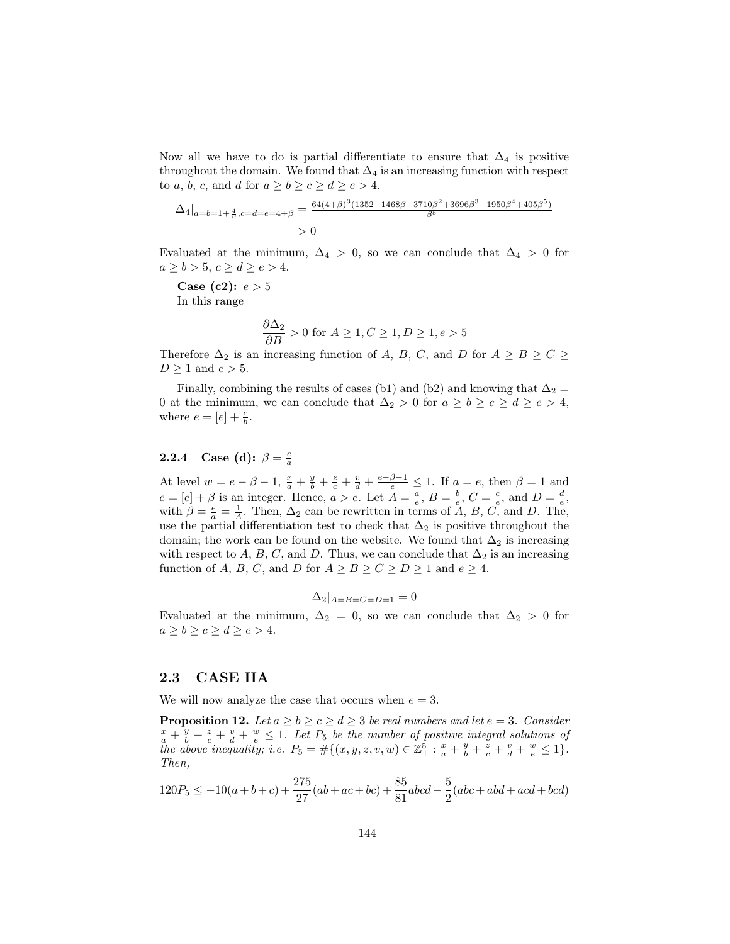Now all we have to do is partial differentiate to ensure that  $\Delta_4$  is positive throughout the domain. We found that  $\Delta_4$  is an increasing function with respect to a, b, c, and d for  $a \ge b \ge c \ge d \ge e > 4$ .

$$
\Delta_4|_{a=b=1+\frac{4}{\beta},c=d=e=4+\beta} = \frac{64(4+\beta)^3(1352-1468\beta-3710\beta^2+3696\beta^3+1950\beta^4+405\beta^5)}{\beta^5}
$$
  
> 0

Evaluated at the minimum,  $\Delta_4$  > 0, so we can conclude that  $\Delta_4$  > 0 for  $a \geq b > 5, c \geq d \geq e > 4.$ 

**Case** (**c2**):  $e > 5$ In this range

$$
\frac{\partial \Delta_2}{\partial B} > 0 \text{ for } A \ge 1, C \ge 1, D \ge 1, e > 5
$$

Therefore  $\Delta_2$  is an increasing function of A, B, C, and D for  $A \geq B \geq C \geq$  $D \geq 1$  and  $e > 5$ .

Finally, combining the results of cases (b1) and (b2) and knowing that  $\Delta_2 =$ 0 at the minimum, we can conclude that  $\Delta_2 > 0$  for  $a \ge b \ge c \ge d \ge e > 4$ , where  $e = [e] + \frac{e}{b}$ .

# **2.2.4** Case (d):  $\beta = \frac{e}{a}$

At level  $w = e - \beta - 1$ ,  $\frac{x}{a} + \frac{y}{b} + \frac{z}{c} + \frac{v}{d} + \frac{e - \beta - 1}{e} \le 1$ . If  $a = e$ , then  $\beta = 1$  and  $e = [e] + \beta$  is an integer. Hence,  $a > e$ . Let  $A = \frac{a}{e}$ ,  $B = \frac{b}{e}$ ,  $C = \frac{c}{e}$ , and  $D = \frac{d}{e}$ , with  $\beta = \frac{e}{a} = \frac{1}{A}$ . Then,  $\Delta_2$  can be rewritten in terms of  $\tilde{A}$ ,  $B$ ,  $C$ , and  $D$ . The, use the partial differentiation test to check that  $\Delta_2$  is positive throughout the domain; the work can be found on the website. We found that  $\Delta_2$  is increasing with respect to A, B, C, and D. Thus, we can conclude that  $\Delta_2$  is an increasing function of A, B, C, and D for  $A \geq B \geq C \geq D \geq 1$  and  $e \geq 4$ .

$$
\Delta_2|_{A=B=C=D=1}=0
$$

Evaluated at the minimum,  $\Delta_2 = 0$ , so we can conclude that  $\Delta_2 > 0$  for  $a \ge b \ge c \ge d \ge e > 4.$ 

### 2.3 CASE IIA

We will now analyze the case that occurs when  $e = 3$ .

**Proposition 12.** Let  $a \ge b \ge c \ge d \ge 3$  be real numbers and let  $e = 3$ . Consider  $\frac{x}{a} + \frac{y}{b} + \frac{z}{c} + \frac{v}{d} + \frac{w}{e} \leq 1$ . Let  $P_5$  be the number of positive integral solutions of the above inequality; i.e.  $P_5 = #\{(x, y, z, v, w) \in \mathbb{Z}_+^5 : \frac{x}{a} + \frac{y}{b} + \frac{z}{c} + \frac{v}{d} + \frac{w}{e} \leq 1\}.$ Then,

$$
120P_5 \le -10(a+b+c) + \frac{275}{27}(ab+ac+bc) + \frac{85}{81}abcd - \frac{5}{2}(abc+abd+acd+bcd)
$$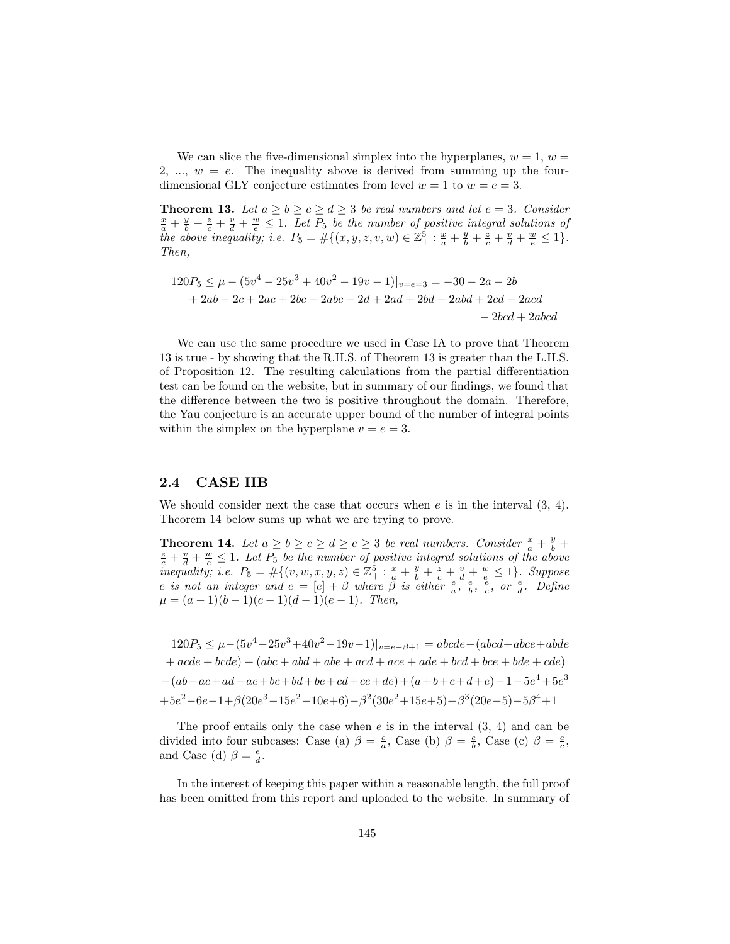We can slice the five-dimensional simplex into the hyperplanes,  $w = 1$ ,  $w =$ 2, ...,  $w = e$ . The inequality above is derived from summing up the fourdimensional GLY conjecture estimates from level  $w = 1$  to  $w = e = 3$ .

**Theorem 13.** Let  $a \ge b \ge c \ge d \ge 3$  be real numbers and let  $e = 3$ . Consider  $\frac{x}{a} + \frac{y}{b} + \frac{z}{c} + \frac{v}{d} + \frac{w}{e} \leq 1$ . Let  $P_5$  be the number of positive integral solutions of the above inequality; i.e.  $P_5 = #\{(x, y, z, v, w) \in \mathbb{Z}_+^5 : \frac{x}{a} + \frac{y}{b} + \frac{z}{c} + \frac{v}{d} + \frac{w}{e} \leq 1\}.$ Then,

$$
120P_5 \le \mu - (5v^4 - 25v^3 + 40v^2 - 19v - 1)|_{v=e=3} = -30 - 2a - 2b
$$
  
+ 2ab - 2c + 2ac + 2bc - 2abc - 2d + 2ad + 2bd - 2abd + 2cd - 2acd  
- 2bcd + 2abcd

We can use the same procedure we used in Case IA to prove that Theorem 13 is true - by showing that the R.H.S. of Theorem 13 is greater than the L.H.S. of Proposition 12. The resulting calculations from the partial differentiation test can be found on the website, but in summary of our findings, we found that the difference between the two is positive throughout the domain. Therefore, the Yau conjecture is an accurate upper bound of the number of integral points within the simplex on the hyperplane  $v = e = 3$ .

#### 2.4 CASE IIB

We should consider next the case that occurs when  $e$  is in the interval  $(3, 4)$ . Theorem 14 below sums up what we are trying to prove.

**Theorem 14.** Let  $a \ge b \ge c \ge d \ge e \ge 3$  be real numbers. Consider  $\frac{x}{a} + \frac{y}{b} + \frac{z}{c}$  $\frac{z}{c} + \frac{v}{d} + \frac{w}{e} \leq 1$ . Let  $P_5$  be the number of positive integral solutions of the above inequality; i.e.  $P_5 = #\{(v, w, x, y, z) \in \mathbb{Z}_{+}^5 : \frac{x}{a} + \frac{y}{b} + \frac{z}{c} + \frac{v}{d} + \frac{w}{e} \leq 1\}$ . Suppose e is not an integer and  $e = [e] + \beta$  where  $\beta$  is either  $\frac{e}{a}, \frac{e}{b}, \frac{e}{c}$ , or  $\frac{e}{d}$ . Define  $\mu = (a-1)(b-1)(c-1)(d-1)(e-1)$ . Then,

 $120P_5 \leq \mu - (5v^4 - 25v^3 + 40v^2 - 19v - 1)|_{v=e-\beta+1} = abcde-(abcd+abc+abde)$  $+ acde + bcde) + (abc + abd + abe + acd + ace + ade + bcd + bce + bde + cde)$  $-(ab+ac+ad+ae+bc+bd+be+cd+ce+de)+(a+b+c+d+e)-1-5e^4+5e^3$  $+5e^2-6e-1+ \beta(20e^3-15e^2-10e+6)-\beta^2(30e^2+15e+5)+\beta^3(20e-5)-5\beta^4+1$ 

The proof entails only the case when  $e$  is in the interval  $(3, 4)$  and can be divided into four subcases: Case (a)  $\beta = \frac{e}{a}$ , Case (b)  $\beta = \frac{e}{b}$ , Case (c)  $\beta = \frac{e}{c}$ , and Case (d)  $\beta = \frac{e}{d}$ .

In the interest of keeping this paper within a reasonable length, the full proof has been omitted from this report and uploaded to the website. In summary of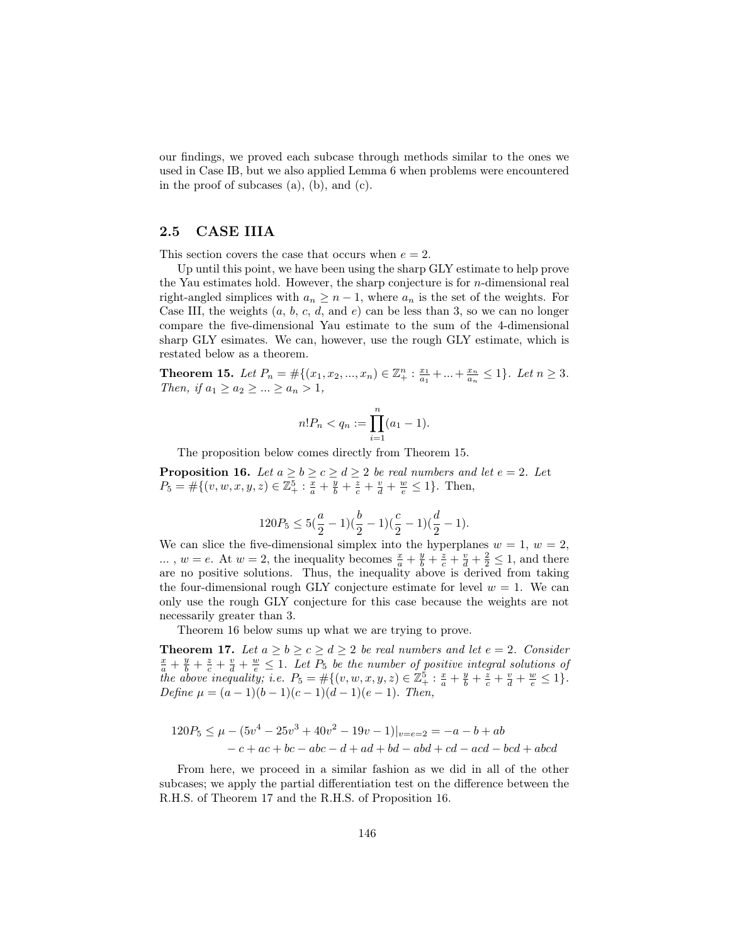our findings, we proved each subcase through methods similar to the ones we used in Case IB, but we also applied Lemma 6 when problems were encountered in the proof of subcases (a), (b), and (c).

### 2.5 CASE IIIA

This section covers the case that occurs when  $e = 2$ .

Up until this point, we have been using the sharp GLY estimate to help prove the Yau estimates hold. However, the sharp conjecture is for  $n$ -dimensional real right-angled simplices with  $a_n \geq n-1$ , where  $a_n$  is the set of the weights. For Case III, the weights  $(a, b, c, d, \text{and } e)$  can be less than 3, so we can no longer compare the five-dimensional Yau estimate to the sum of the 4-dimensional sharp GLY esimates. We can, however, use the rough GLY estimate, which is restated below as a theorem.

**Theorem 15.** Let  $P_n = \#\{(x_1, x_2, ..., x_n) \in \mathbb{Z}_+^n : \frac{x_1}{a_1} + ... + \frac{x_n}{a_n} \leq 1\}$ . Let  $n \geq 3$ . Then, if  $a_1 \ge a_2 \ge ... \ge a_n > 1$ ,

$$
n!P_n < q_n := \prod_{i=1}^n (a_1 - 1).
$$

The proposition below comes directly from Theorem 15.

**Proposition 16.** Let  $a \ge b \ge c \ge d \ge 2$  be real numbers and let  $e = 2$ . Let  $P_5 = #\{(v, w, x, y, z) \in \mathbb{Z}_+^5 : \frac{x}{a} + \frac{y}{b} + \frac{z}{c} + \frac{v}{d} + \frac{w}{e} \le 1\}.$  Then,

$$
120P_5 \le 5(\frac{a}{2}-1)(\frac{b}{2}-1)(\frac{c}{2}-1)(\frac{d}{2}-1).
$$

We can slice the five-dimensional simplex into the hyperplanes  $w = 1, w = 2$ , ...,  $w = e$ . At  $w = 2$ , the inequality becomes  $\frac{x}{a} + \frac{y}{b} + \frac{z}{c} + \frac{v}{d} + \frac{2}{2} \le 1$ , and there are no positive solutions. Thus, the inequality above is derived from taking the four-dimensional rough GLY conjecture estimate for level  $w = 1$ . We can only use the rough GLY conjecture for this case because the weights are not necessarily greater than 3.

Theorem 16 below sums up what we are trying to prove.

**Theorem 17.** Let  $a \ge b \ge c \ge d \ge 2$  be real numbers and let  $e = 2$ . Consider  $\frac{x}{a} + \frac{y}{b} + \frac{z}{c} + \frac{v}{d} + \frac{w}{e} \leq 1$ . Let  $P_5$  be the number of positive integral solutions of the above inequality; i.e.  $P_5 = #\{(v, w, x, y, z) \in \mathbb{Z}_+^5 : \frac{x}{a} + \frac{y}{b} + \frac{z}{c} + \frac{v}{d} + \frac{w}{e} \leq 1\}.$ Define  $\mu = (a-1)(b-1)(c-1)(d-1)(e-1)$ . Then,

$$
120P_5 \le \mu - (5v^4 - 25v^3 + 40v^2 - 19v - 1)|_{v=e=2} = -a - b + ab
$$
  
- c + ac + bc - abc - d + ad + bd - abd + cd - acd - bcd + abcd

From here, we proceed in a similar fashion as we did in all of the other subcases; we apply the partial differentiation test on the difference between the R.H.S. of Theorem 17 and the R.H.S. of Proposition 16.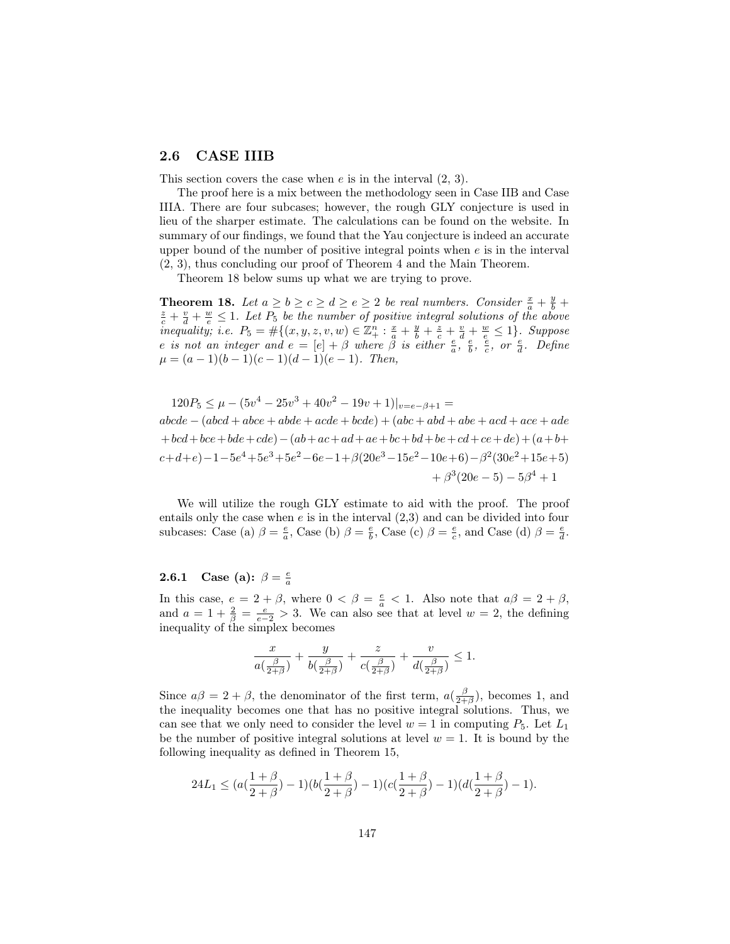### 2.6 CASE IIIB

This section covers the case when  $e$  is in the interval  $(2, 3)$ .

The proof here is a mix between the methodology seen in Case IIB and Case IIIA. There are four subcases; however, the rough GLY conjecture is used in lieu of the sharper estimate. The calculations can be found on the website. In summary of our findings, we found that the Yau conjecture is indeed an accurate upper bound of the number of positive integral points when  $e$  is in the interval (2, 3), thus concluding our proof of Theorem 4 and the Main Theorem.

Theorem 18 below sums up what we are trying to prove.

**Theorem 18.** Let  $a \ge b \ge c \ge d \ge e \ge 2$  be real numbers. Consider  $\frac{x}{a} + \frac{y}{b} + \frac{z}{c}$  $\frac{z}{c} + \frac{v}{d} + \frac{w}{e} \leq 1$ . Let  $P_5$  be the number of positive integral solutions of the above inequality; i.e.  $P_5 = #\{(x, y, z, v, w) \in \mathbb{Z}_+^n : \frac{x}{a} + \frac{y}{b} + \frac{z}{c} + \frac{v}{d} + \frac{w}{e} \leq 1\}$ . Suppose e is not an integer and  $e = [e] + \beta$  where  $\beta$  is either  $\frac{e}{a}, \frac{e}{b}, \frac{e}{c}$ , or  $\frac{e}{d}$ . Define  $\mu = (a-1)(b-1)(c-1)(d-1)(e-1)$ . Then,

$$
120P_5 \le \mu - (5v^4 - 25v^3 + 40v^2 - 19v + 1)|_{v=e-\beta+1} =
$$
  
\n
$$
abcde - (abcd + abce + abde + acde + bcde) + (abc + abd + abe + acd + ace + ade
$$
  
\n
$$
+ bcd + bce + bde + cde) - (ab + ac + ad + ae + bc + bd + be + cd + ce + de) + (a + b + cd + be) -1 - 5e^4 + 5e^3 + 5e^2 - 6e - 1 + \beta(20e^3 - 15e^2 - 10e + 6) - \beta^2(30e^2 + 15e + 5)
$$
  
\n
$$
+ \beta^3(20e - 5) - 5\beta^4 + 1
$$

We will utilize the rough GLY estimate to aid with the proof. The proof entails only the case when  $e$  is in the interval  $(2,3)$  and can be divided into four subcases: Case (a)  $\beta = \frac{e}{a}$ , Case (b)  $\beta = \frac{e}{b}$ , Case (c)  $\beta = \frac{e}{c}$ , and Case (d)  $\beta = \frac{e}{d}$ .

# **2.6.1** Case (a):  $\beta = \frac{e}{a}$

In this case,  $e = 2 + \beta$ , where  $0 < \beta = \frac{e}{a} < 1$ . Also note that  $a\beta = 2 + \beta$ , and  $a = 1 + \frac{2}{\beta} = \frac{e}{e-2} > 3$ . We can also see that at level  $w = 2$ , the defining inequality of the simplex becomes

$$
\frac{x}{a(\frac{\beta}{2+\beta})} + \frac{y}{b(\frac{\beta}{2+\beta})} + \frac{z}{c(\frac{\beta}{2+\beta})} + \frac{v}{d(\frac{\beta}{2+\beta})} \le 1.
$$

Since  $a\beta = 2 + \beta$ , the denominator of the first term,  $a(\frac{\beta}{2+\beta})$ , becomes 1, and the inequality becomes one that has no positive integral solutions. Thus, we can see that we only need to consider the level  $w = 1$  in computing  $P_5$ . Let  $L_1$ be the number of positive integral solutions at level  $w = 1$ . It is bound by the following inequality as defined in Theorem 15,

$$
24L_1 \leq (a(\frac{1+\beta}{2+\beta})-1)(b(\frac{1+\beta}{2+\beta})-1)(c(\frac{1+\beta}{2+\beta})-1)(d(\frac{1+\beta}{2+\beta})-1).
$$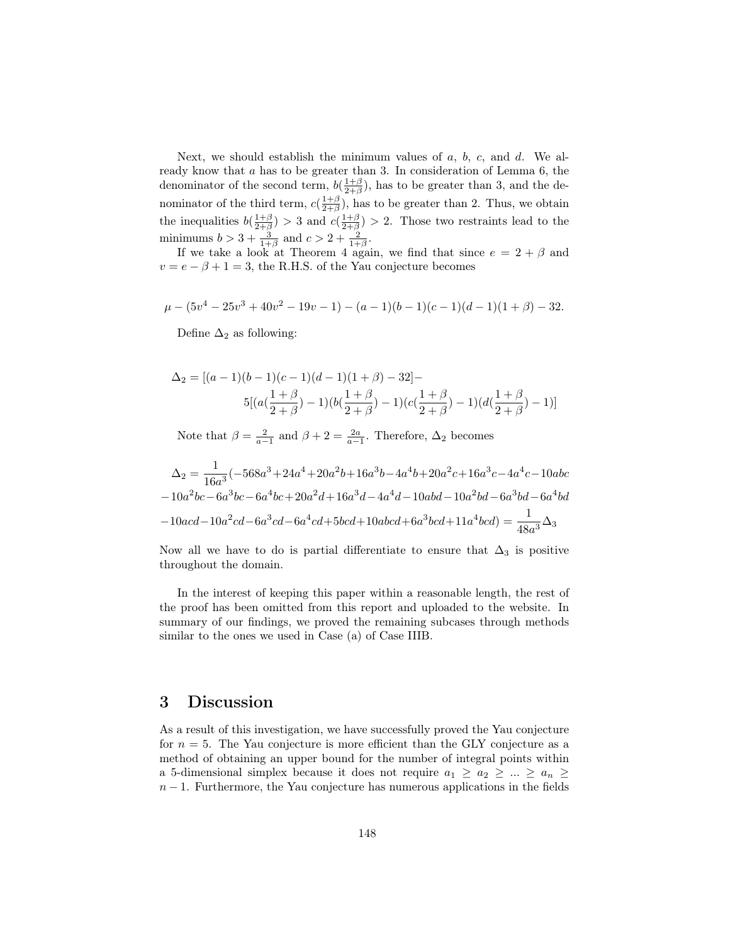Next, we should establish the minimum values of  $a, b, c,$  and  $d$ . We already know that a has to be greater than 3. In consideration of Lemma 6, the denominator of the second term,  $b(\frac{1+\beta}{2+\beta})$ , has to be greater than 3, and the denominator of the third term,  $c(\frac{1+\beta}{2+\beta})$ , has to be greater than 2. Thus, we obtain the inequalities  $b(\frac{1+\beta}{2+\beta}) > 3$  and  $c(\frac{1+\beta}{2+\beta}) > 2$ . Those two restraints lead to the minimums  $b > 3 + \frac{3}{1+\beta}$  and  $c > 2 + \frac{2}{1+\beta}$ .

If we take a look at Theorem 4 again, we find that since  $e = 2 + \beta$  and  $v = e - \beta + 1 = 3$ , the R.H.S. of the Yau conjecture becomes

$$
\mu - (5v4 - 25v3 + 40v2 - 19v - 1) - (a - 1)(b - 1)(c - 1)(d - 1)(1 + \beta) - 32.
$$

Define  $\Delta_2$  as following:

$$
\Delta_2 = [(a-1)(b-1)(c-1)(d-1)(1+\beta) - 32] -
$$
  
5[(a(\frac{1+\beta}{2+\beta}) - 1)(b(\frac{1+\beta}{2+\beta}) - 1)(c(\frac{1+\beta}{2+\beta}) - 1)(d(\frac{1+\beta}{2+\beta}) - 1)]

Note that  $\beta = \frac{2}{a-1}$  and  $\beta + 2 = \frac{2a}{a-1}$ . Therefore,  $\Delta_2$  becomes

$$
\Delta_2 = \frac{1}{16a^3}(-568a^3 + 24a^4 + 20a^2b + 16a^3b - 4a^4b + 20a^2c + 16a^3c - 4a^4c - 10abc
$$
  

$$
-10a^2bc - 6a^3bc - 6a^4bc + 20a^2d + 16a^3d - 4a^4d - 10abd - 10a^2bd - 6a^3bd - 6a^4bd
$$
  

$$
-10acd - 10a^2cd - 6a^3cd - 6a^4cd + 5bcd + 10abcd + 6a^3bcd + 11a^4bcd) = \frac{1}{48a^3}\Delta_3
$$

Now all we have to do is partial differentiate to ensure that  $\Delta_3$  is positive throughout the domain.

In the interest of keeping this paper within a reasonable length, the rest of the proof has been omitted from this report and uploaded to the website. In summary of our findings, we proved the remaining subcases through methods similar to the ones we used in Case (a) of Case IIIB.

### 3 Discussion

As a result of this investigation, we have successfully proved the Yau conjecture for  $n = 5$ . The Yau conjecture is more efficient than the GLY conjecture as a method of obtaining an upper bound for the number of integral points within a 5-dimensional simplex because it does not require  $a_1 \ge a_2 \ge ... \ge a_n \ge$  $n-1$ . Furthermore, the Yau conjecture has numerous applications in the fields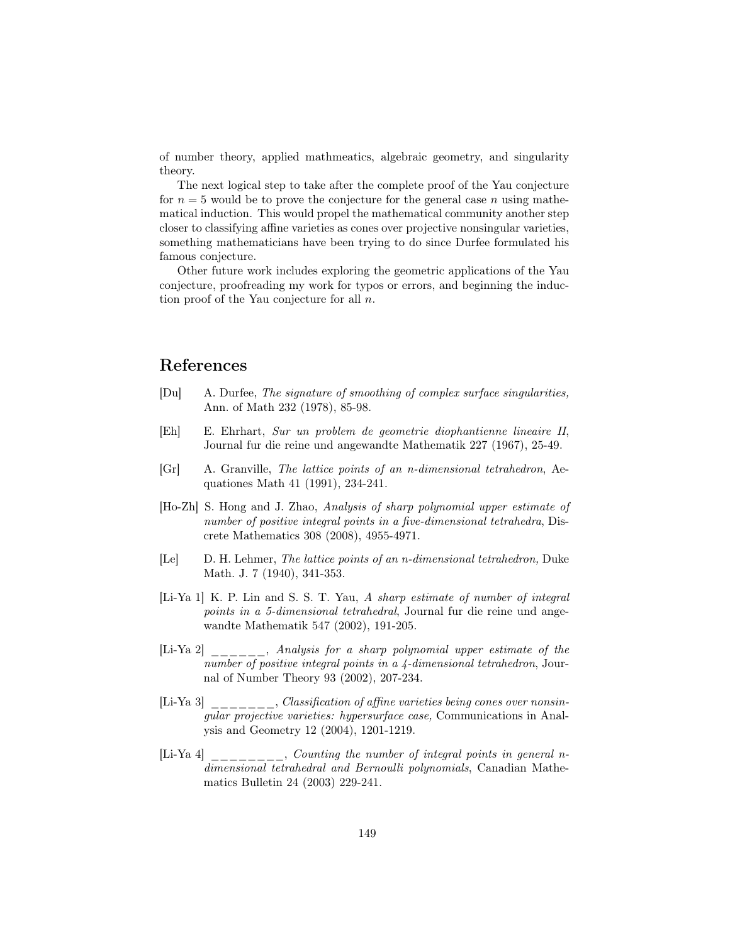of number theory, applied mathmeatics, algebraic geometry, and singularity theory.

The next logical step to take after the complete proof of the Yau conjecture for  $n = 5$  would be to prove the conjecture for the general case n using mathematical induction. This would propel the mathematical community another step closer to classifying affine varieties as cones over projective nonsingular varieties, something mathematicians have been trying to do since Durfee formulated his famous conjecture.

Other future work includes exploring the geometric applications of the Yau conjecture, proofreading my work for typos or errors, and beginning the induction proof of the Yau conjecture for all  $n$ .

### References

- [Du] A. Durfee, The signature of smoothing of complex surface singularities, Ann. of Math 232 (1978), 85-98.
- [Eh] E. Ehrhart, Sur un problem de geometrie diophantienne lineaire II, Journal fur die reine und angewandte Mathematik 227 (1967), 25-49.
- [Gr] A. Granville, The lattice points of an n-dimensional tetrahedron, Aequationes Math 41 (1991), 234-241.
- [Ho-Zh] S. Hong and J. Zhao, Analysis of sharp polynomial upper estimate of number of positive integral points in a five-dimensional tetrahedra, Discrete Mathematics 308 (2008), 4955-4971.
- [Le] D. H. Lehmer, The lattice points of an n-dimensional tetrahedron, Duke Math. J. 7 (1940), 341-353.
- [Li-Ya 1] K. P. Lin and S. S. T. Yau, A sharp estimate of number of integral points in a 5-dimensional tetrahedral, Journal fur die reine und angewandte Mathematik 547 (2002), 191-205.
- [Li-Ya 2] \_\_\_\_\_\_, Analysis for a sharp polynomial upper estimate of the number of positive integral points in a 4-dimensional tetrahedron, Journal of Number Theory 93 (2002), 207-234.
- [Li-Ya 3] \_\_\_\_\_\_\_, Classification of affine varieties being cones over nonsingular projective varieties: hypersurface case, Communications in Analysis and Geometry 12 (2004), 1201-1219.
- [Li-Ya 4] \_\_\_\_\_\_\_, Counting the number of integral points in general ndimensional tetrahedral and Bernoulli polynomials, Canadian Mathematics Bulletin 24 (2003) 229-241.